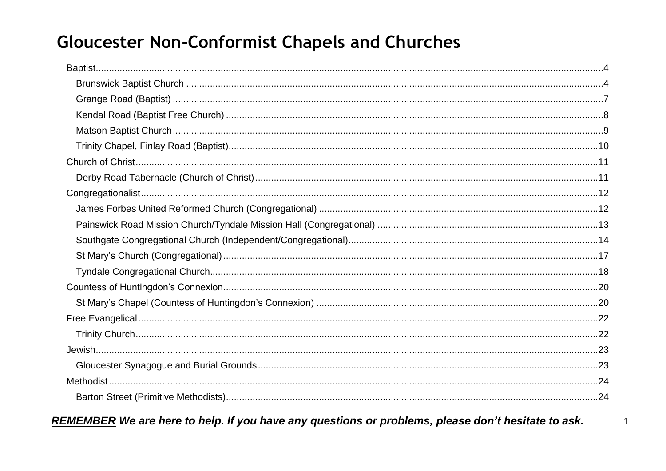# **Gloucester Non-Conformist Chapels and Churches**

REMEMBER We are here to help. If you have any questions or problems, please don't hesitate to ask.

 $\overline{1}$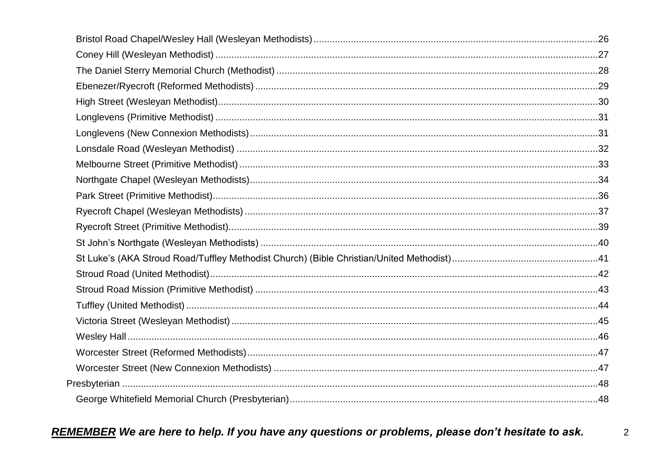$\overline{2}$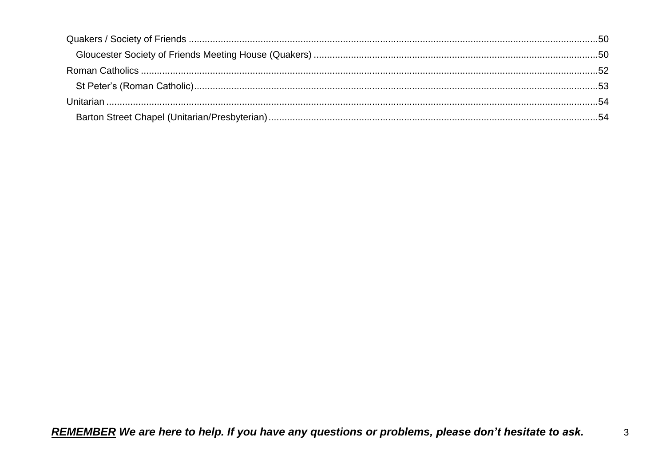$\mathbf{3}$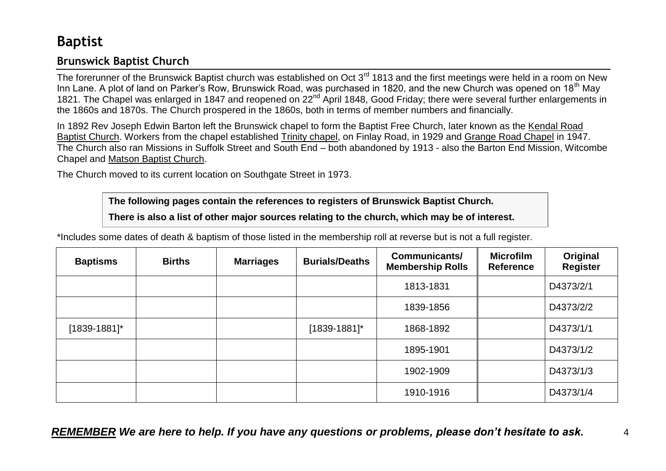# <span id="page-3-0"></span>**Baptist**

# <span id="page-3-1"></span>**Brunswick Baptist Church**

The forerunner of the Brunswick Baptist church was established on Oct 3<sup>rd</sup> 1813 and the first meetings were held in a room on New Inn Lane. A plot of land on Parker's Row, Brunswick Road, was purchased in 1820, and the new Church was opened on 18<sup>th</sup> May 1821. The Chapel was enlarged in 1847 and reopened on 22<sup>nd</sup> April 1848, Good Friday; there were several further enlargements in the 1860s and 1870s. The Church prospered in the 1860s, both in terms of member numbers and financially.

In 1892 Rev Joseph Edwin Barton left the Brunswick chapel to form the Baptist Free Church, later known as the Kendal Road Baptist Church. Workers from the chapel established Trinity chapel, on Finlay Road, in 1929 and Grange Road Chapel in 1947. The Church also ran Missions in Suffolk Street and South End – both abandoned by 1913 - also the Barton End Mission, Witcombe Chapel and Matson Baptist Church.

The Church moved to its current location on Southgate Street in 1973.

**The following pages contain the references to registers of Brunswick Baptist Church.**

**There is also a list of other major sources relating to the church, which may be of interest.**

\*Includes some dates of death & baptism of those listed in the membership roll at reverse but is not a full register.

| <b>Baptisms</b> | <b>Births</b> | <b>Marriages</b> | <b>Burials/Deaths</b> | <b>Communicants/</b><br><b>Membership Rolls</b> | <b>Microfilm</b><br><b>Reference</b> | Original<br><b>Register</b> |
|-----------------|---------------|------------------|-----------------------|-------------------------------------------------|--------------------------------------|-----------------------------|
|                 |               |                  |                       | 1813-1831                                       |                                      | D4373/2/1                   |
|                 |               |                  |                       | 1839-1856                                       |                                      | D4373/2/2                   |
| $[1839-1881]$ * |               |                  | $[1839-1881]$ *       | 1868-1892                                       |                                      | D4373/1/1                   |
|                 |               |                  |                       | 1895-1901                                       |                                      | D4373/1/2                   |
|                 |               |                  |                       | 1902-1909                                       |                                      | D4373/1/3                   |
|                 |               |                  |                       | 1910-1916                                       |                                      | D4373/1/4                   |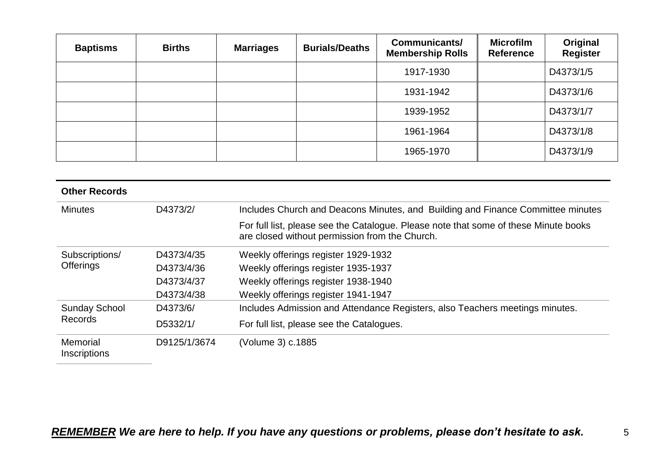| <b>Baptisms</b> | <b>Births</b> | <b>Marriages</b> | <b>Burials/Deaths</b> | <b>Communicants/</b><br><b>Membership Rolls</b> | <b>Microfilm</b><br><b>Reference</b> | Original<br><b>Register</b> |
|-----------------|---------------|------------------|-----------------------|-------------------------------------------------|--------------------------------------|-----------------------------|
|                 |               |                  |                       | 1917-1930                                       |                                      | D4373/1/5                   |
|                 |               |                  |                       | 1931-1942                                       |                                      | D4373/1/6                   |
|                 |               |                  |                       | 1939-1952                                       |                                      | D4373/1/7                   |
|                 |               |                  |                       | 1961-1964                                       |                                      | D4373/1/8                   |
|                 |               |                  |                       | 1965-1970                                       |                                      | D4373/1/9                   |

| <b>Other Records</b>                   |              |                                                                                                                                        |
|----------------------------------------|--------------|----------------------------------------------------------------------------------------------------------------------------------------|
| <b>Minutes</b>                         | D4373/2/     | Includes Church and Deacons Minutes, and Building and Finance Committee minutes                                                        |
|                                        |              | For full list, please see the Catalogue. Please note that some of these Minute books<br>are closed without permission from the Church. |
| Subscriptions/                         | D4373/4/35   | Weekly offerings register 1929-1932                                                                                                    |
| <b>Offerings</b>                       | D4373/4/36   | Weekly offerings register 1935-1937                                                                                                    |
|                                        | D4373/4/37   | Weekly offerings register 1938-1940                                                                                                    |
|                                        | D4373/4/38   | Weekly offerings register 1941-1947                                                                                                    |
| <b>Sunday School</b><br><b>Records</b> | D4373/6/     | Includes Admission and Attendance Registers, also Teachers meetings minutes.                                                           |
|                                        | D5332/1/     | For full list, please see the Catalogues.                                                                                              |
| Memorial<br>Inscriptions               | D9125/1/3674 | (Volume 3) c.1885                                                                                                                      |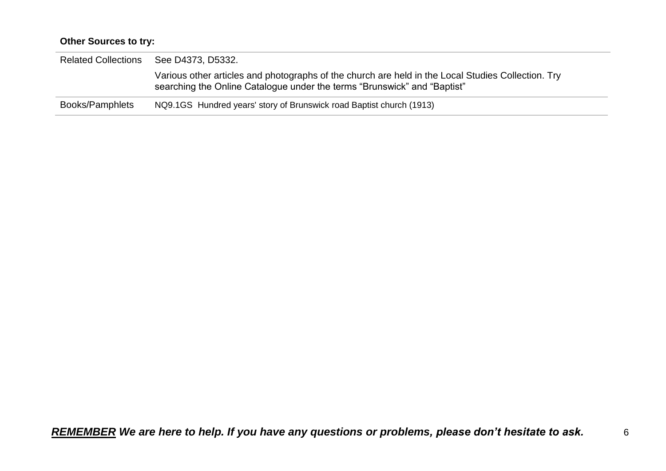### **Other Sources to try:**

| <b>Related Collections</b> | See D4373, D5332.                                                                                                                                                              |
|----------------------------|--------------------------------------------------------------------------------------------------------------------------------------------------------------------------------|
|                            | Various other articles and photographs of the church are held in the Local Studies Collection. Try<br>searching the Online Catalogue under the terms "Brunswick" and "Baptist" |
| <b>Books/Pamphlets</b>     | NQ9.1GS Hundred years' story of Brunswick road Baptist church (1913)                                                                                                           |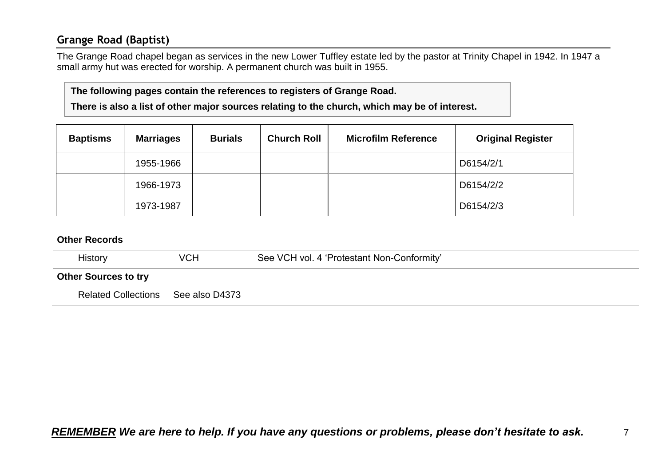# <span id="page-6-0"></span>**Grange Road (Baptist)**

The Grange Road chapel began as services in the new Lower Tuffley estate led by the pastor at Trinity Chapel in 1942. In 1947 a small army hut was erected for worship. A permanent church was built in 1955.

#### **The following pages contain the references to registers of Grange Road.**

**There is also a list of other major sources relating to the church, which may be of interest.**

| <b>Baptisms</b> | <b>Marriages</b> | <b>Burials</b> | <b>Church Roll</b> | <b>Microfilm Reference</b> | <b>Original Register</b> |
|-----------------|------------------|----------------|--------------------|----------------------------|--------------------------|
|                 | 1955-1966        |                |                    |                            | D6154/2/1                |
|                 | 1966-1973        |                |                    |                            | D6154/2/2                |
|                 | 1973-1987        |                |                    |                            | D6154/2/3                |

| <b>History</b>              | VCH            | See VCH vol. 4 'Protestant Non-Conformity' |
|-----------------------------|----------------|--------------------------------------------|
| <b>Other Sources to try</b> |                |                                            |
| <b>Related Collections</b>  | See also D4373 |                                            |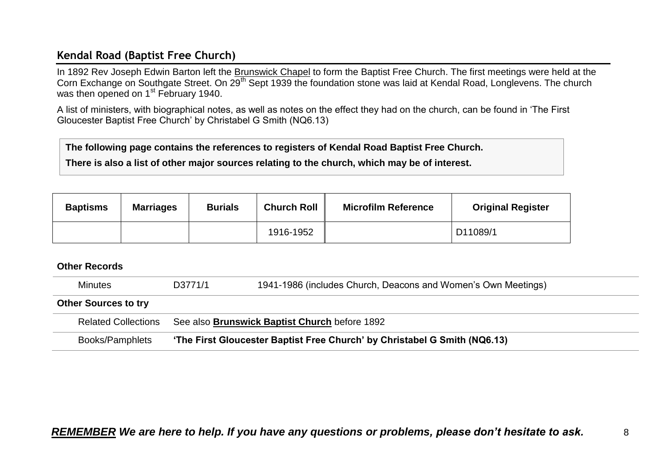# <span id="page-7-0"></span>**Kendal Road (Baptist Free Church)**

In 1892 Rev Joseph Edwin Barton left the Brunswick Chapel to form the Baptist Free Church. The first meetings were held at the Corn Exchange on Southgate Street. On 29<sup>th</sup> Sept 1939 the foundation stone was laid at Kendal Road, Longlevens. The church was then opened on 1<sup>st</sup> February 1940.

A list of ministers, with biographical notes, as well as notes on the effect they had on the church, can be found in 'The First Gloucester Baptist Free Church' by Christabel G Smith (NQ6.13)

**The following page contains the references to registers of Kendal Road Baptist Free Church.**

**There is also a list of other major sources relating to the church, which may be of interest.**

| <b>Baptisms</b> | <b>Marriages</b> | <b>Burials</b> | <b>Church Roll</b> | <b>Microfilm Reference</b> | <b>Original Register</b> |
|-----------------|------------------|----------------|--------------------|----------------------------|--------------------------|
|                 |                  |                | 1916-1952          |                            | D11089/1                 |

| <b>Minutes</b>              | D3771/1 | 1941-1986 (includes Church, Deacons and Women's Own Meetings)             |
|-----------------------------|---------|---------------------------------------------------------------------------|
| <b>Other Sources to try</b> |         |                                                                           |
| <b>Related Collections</b>  |         | See also Brunswick Baptist Church before 1892                             |
| Books/Pamphlets             |         | 'The First Gloucester Baptist Free Church' by Christabel G Smith (NQ6.13) |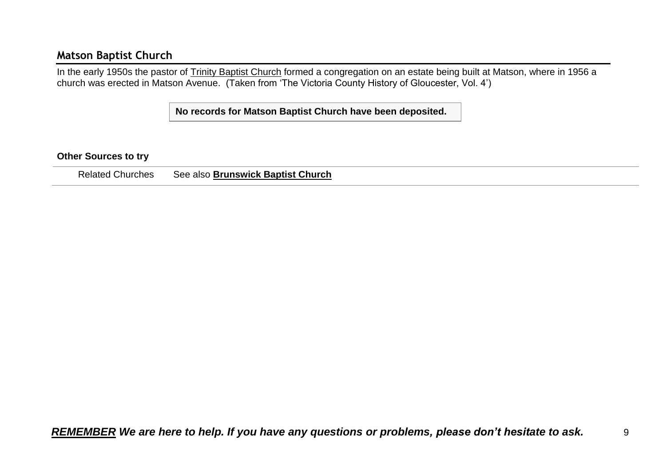### <span id="page-8-0"></span>**Matson Baptist Church**

In the early 1950s the pastor of Trinity Baptist Church formed a congregation on an estate being built at Matson, where in 1956 a church was erected in Matson Avenue. (Taken from 'The Victoria County History of Gloucester, Vol. 4')

**No records for Matson Baptist Church have been deposited.**

#### **Other Sources to try**

Related Churches See also **Brunswick Baptist Church**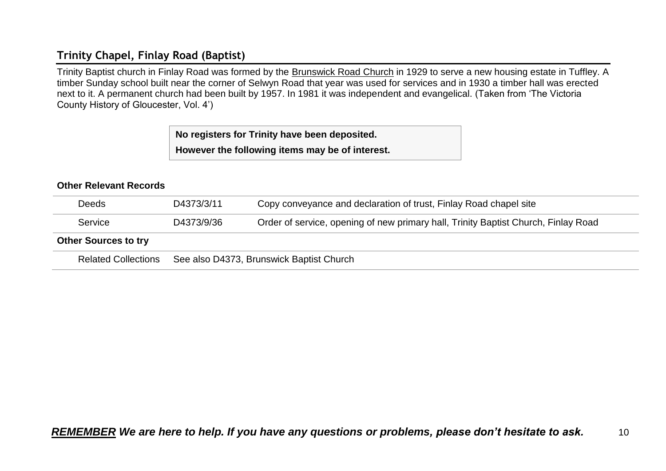# <span id="page-9-0"></span>**Trinity Chapel, Finlay Road (Baptist)**

Trinity Baptist church in Finlay Road was formed by the Brunswick Road Church in 1929 to serve a new housing estate in Tuffley. A timber Sunday school built near the corner of Selwyn Road that year was used for services and in 1930 a timber hall was erected next to it. A permanent church had been built by 1957. In 1981 it was independent and evangelical. (Taken from 'The Victoria County History of Gloucester, Vol. 4')

**No registers for Trinity have been deposited.**

**However the following items may be of interest.**

#### **Other Relevant Records**

| <b>Deeds</b>                | D4373/3/11                               | Copy conveyance and declaration of trust, Finlay Road chapel site                  |  |
|-----------------------------|------------------------------------------|------------------------------------------------------------------------------------|--|
| Service                     | D4373/9/36                               | Order of service, opening of new primary hall, Trinity Baptist Church, Finlay Road |  |
| <b>Other Sources to try</b> |                                          |                                                                                    |  |
| <b>Related Collections</b>  | See also D4373, Brunswick Baptist Church |                                                                                    |  |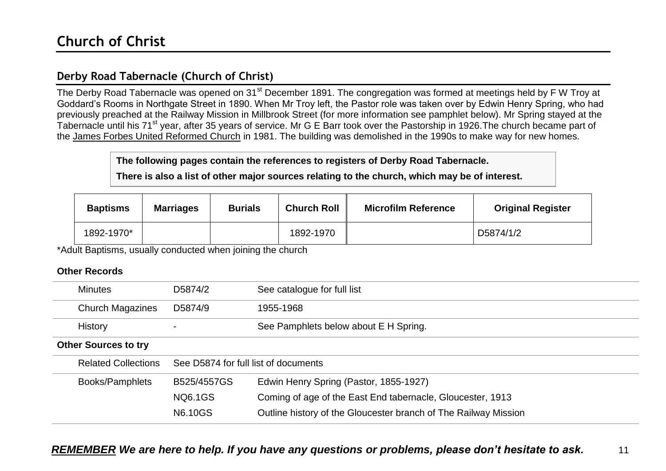# <span id="page-10-1"></span><span id="page-10-0"></span>**Derby Road Tabernacle (Church of Christ)**

The Derby Road Tabernacle was opened on 31<sup>st</sup> December 1891. The congregation was formed at meetings held by F W Troy at Goddard's Rooms in Northgate Street in 1890. When Mr Troy left, the Pastor role was taken over by Edwin Henry Spring, who had previously preached at the Railway Mission in Millbrook Street (for more information see pamphlet below). Mr Spring stayed at the Tabernacle until his 71<sup>st</sup> year, after 35 years of service. Mr G E Barr took over the Pastorship in 1926. The church became part of the James Forbes United Reformed Church in 1981. The building was demolished in the 1990s to make way for new homes.

**The following pages contain the references to registers of Derby Road Tabernacle.**

**There is also a list of other major sources relating to the church, which may be of interest.**

| <b>Baptisms</b> | <b>Marriages</b> | <b>Burials</b> | <b>Church Roll</b> | <b>Microfilm Reference</b> | <b>Original Register</b> |
|-----------------|------------------|----------------|--------------------|----------------------------|--------------------------|
| 1892-1970*      |                  |                | 1892-1970          |                            | D5874/1/2                |

\*Adult Baptisms, usually conducted when joining the church

| <b>Minutes</b>              | D5874/2                              | See catalogue for full list                                     |
|-----------------------------|--------------------------------------|-----------------------------------------------------------------|
| <b>Church Magazines</b>     | D5874/9                              | 1955-1968                                                       |
| <b>History</b>              |                                      | See Pamphlets below about E H Spring.                           |
| <b>Other Sources to try</b> |                                      |                                                                 |
| <b>Related Collections</b>  | See D5874 for full list of documents |                                                                 |
| Books/Pamphlets             | B525/4557GS                          | Edwin Henry Spring (Pastor, 1855-1927)                          |
|                             | <b>NQ6.1GS</b>                       | Coming of age of the East End tabernacle, Gloucester, 1913      |
|                             | <b>N6.10GS</b>                       | Outline history of the Gloucester branch of The Railway Mission |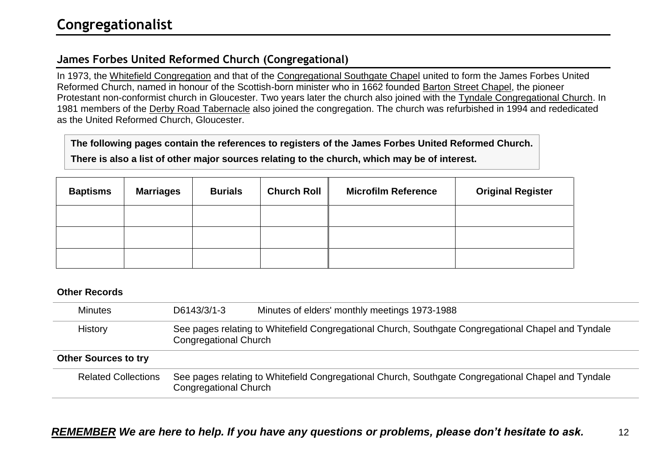# <span id="page-11-1"></span><span id="page-11-0"></span>**James Forbes United Reformed Church (Congregational)**

In 1973, the Whitefield Congregation and that of the Congregational Southgate Chapel united to form the James Forbes United Reformed Church, named in honour of the Scottish-born minister who in 1662 founded Barton Street Chapel, the pioneer Protestant non-conformist church in Gloucester. Two years later the church also joined with the Tyndale Congregational Church. In 1981 members of the Derby Road Tabernacle also joined the congregation. The church was refurbished in 1994 and rededicated as the United Reformed Church, Gloucester.

**The following pages contain the references to registers of the James Forbes United Reformed Church.**

**There is also a list of other major sources relating to the church, which may be of interest.**

| <b>Baptisms</b> | <b>Marriages</b> | <b>Burials</b> | <b>Church Roll</b> | <b>Microfilm Reference</b> | <b>Original Register</b> |
|-----------------|------------------|----------------|--------------------|----------------------------|--------------------------|
|                 |                  |                |                    |                            |                          |
|                 |                  |                |                    |                            |                          |
|                 |                  |                |                    |                            |                          |

#### **Other Records**

| <b>Minutes</b>              | D6143/3/1-3           | Minutes of elders' monthly meetings 1973-1988                                                       |
|-----------------------------|-----------------------|-----------------------------------------------------------------------------------------------------|
| History                     | Congregational Church | See pages relating to Whitefield Congregational Church, Southgate Congregational Chapel and Tyndale |
| <b>Other Sources to try</b> |                       |                                                                                                     |
| <b>Related Collections</b>  | Congregational Church | See pages relating to Whitefield Congregational Church, Southgate Congregational Chapel and Tyndale |

# *REMEMBER We are here to help. If you have any questions or problems, please don't hesitate to ask.* 12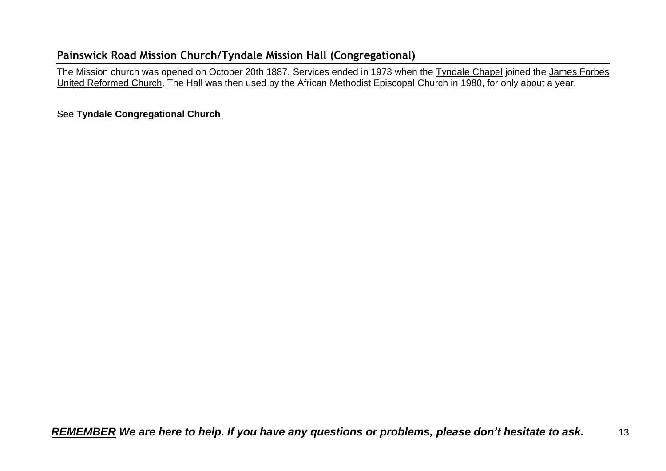# <span id="page-12-0"></span>**Painswick Road Mission Church/Tyndale Mission Hall (Congregational)**

The Mission church was opened on October 20th 1887. Services ended in 1973 when the Tyndale Chapel joined the James Forbes United Reformed Church. The Hall was then used by the African Methodist Episcopal Church in 1980, for only about a year.

#### See **Tyndale Congregational Church**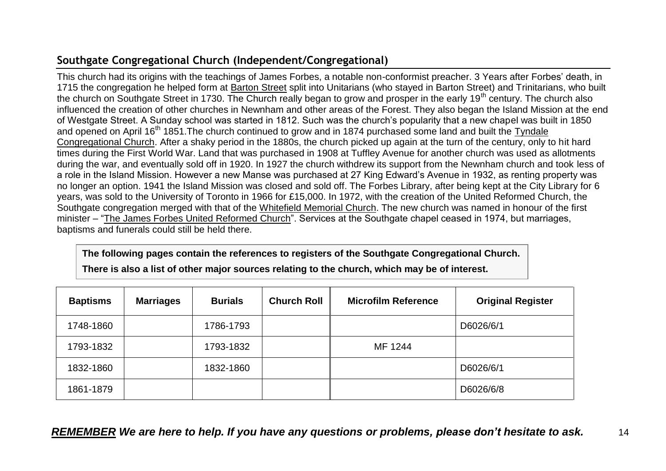# <span id="page-13-0"></span>**Southgate Congregational Church (Independent/Congregational)**

This church had its origins with the teachings of James Forbes, a notable non-conformist preacher. 3 Years after Forbes' death, in 1715 the congregation he helped form at Barton Street split into Unitarians (who stayed in Barton Street) and Trinitarians, who built the church on Southgate Street in 1730. The Church really began to grow and prosper in the early 19<sup>th</sup> century. The church also influenced the creation of other churches in Newnham and other areas of the Forest. They also began the Island Mission at the end of Westgate Street. A Sunday school was started in 1812. Such was the church's popularity that a new chapel was built in 1850 and opened on April 16<sup>th</sup> 1851. The church continued to grow and in 1874 purchased some land and built the Tyndale Congregational Church. After a shaky period in the 1880s, the church picked up again at the turn of the century, only to hit hard times during the First World War. Land that was purchased in 1908 at Tuffley Avenue for another church was used as allotments during the war, and eventually sold off in 1920. In 1927 the church withdrew its support from the Newnham church and took less of a role in the Island Mission. However a new Manse was purchased at 27 King Edward's Avenue in 1932, as renting property was no longer an option. 1941 the Island Mission was closed and sold off. The Forbes Library, after being kept at the City Library for 6 years, was sold to the University of Toronto in 1966 for £15,000. In 1972, with the creation of the United Reformed Church, the Southgate congregation merged with that of the Whitefield Memorial Church. The new church was named in honour of the first minister – "The James Forbes United Reformed Church". Services at the Southgate chapel ceased in 1974, but marriages, baptisms and funerals could still be held there.

**The following pages contain the references to registers of the Southgate Congregational Church. There is also a list of other major sources relating to the church, which may be of interest.**

| <b>Baptisms</b> | <b>Marriages</b> | <b>Burials</b> | <b>Church Roll</b> | <b>Microfilm Reference</b> | <b>Original Register</b> |
|-----------------|------------------|----------------|--------------------|----------------------------|--------------------------|
| 1748-1860       |                  | 1786-1793      |                    |                            | D6026/6/1                |
| 1793-1832       |                  | 1793-1832      |                    | MF 1244                    |                          |
| 1832-1860       |                  | 1832-1860      |                    |                            | D6026/6/1                |
| 1861-1879       |                  |                |                    |                            | D6026/6/8                |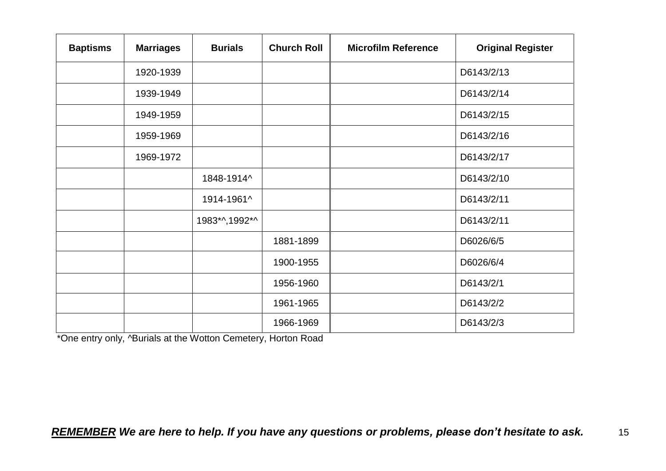| <b>Baptisms</b> | <b>Marriages</b> | <b>Burials</b> | <b>Church Roll</b> | <b>Microfilm Reference</b> | <b>Original Register</b> |
|-----------------|------------------|----------------|--------------------|----------------------------|--------------------------|
|                 | 1920-1939        |                |                    |                            | D6143/2/13               |
|                 | 1939-1949        |                |                    |                            | D6143/2/14               |
|                 | 1949-1959        |                |                    |                            | D6143/2/15               |
|                 | 1959-1969        |                |                    |                            | D6143/2/16               |
|                 | 1969-1972        |                |                    |                            | D6143/2/17               |
|                 |                  | 1848-1914^     |                    |                            | D6143/2/10               |
|                 |                  | 1914-1961^     |                    |                            | D6143/2/11               |
|                 |                  | 1983*^,1992*^  |                    |                            | D6143/2/11               |
|                 |                  |                | 1881-1899          |                            | D6026/6/5                |
|                 |                  |                | 1900-1955          |                            | D6026/6/4                |
|                 |                  |                | 1956-1960          |                            | D6143/2/1                |
|                 |                  |                | 1961-1965          |                            | D6143/2/2                |
|                 |                  |                | 1966-1969          |                            | D6143/2/3                |

\*One entry only, ^Burials at the Wotton Cemetery, Horton Road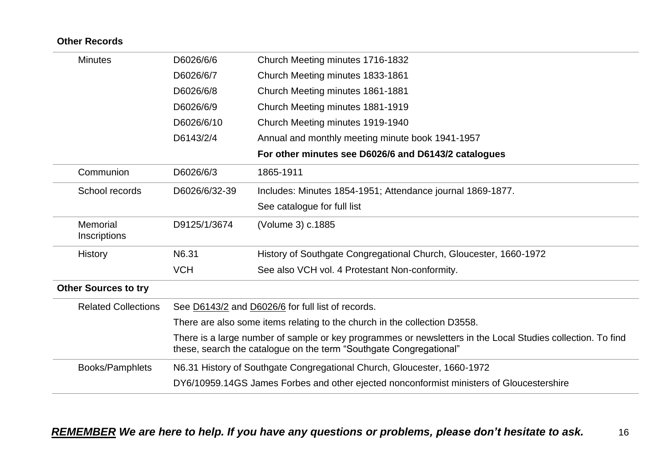| <b>Other Records</b>        |                                                                                                                                                                                   |                                                                                          |  |
|-----------------------------|-----------------------------------------------------------------------------------------------------------------------------------------------------------------------------------|------------------------------------------------------------------------------------------|--|
| <b>Minutes</b>              | D6026/6/6                                                                                                                                                                         | Church Meeting minutes 1716-1832                                                         |  |
|                             | D6026/6/7                                                                                                                                                                         | Church Meeting minutes 1833-1861                                                         |  |
|                             | D6026/6/8                                                                                                                                                                         | Church Meeting minutes 1861-1881                                                         |  |
|                             | D6026/6/9                                                                                                                                                                         | Church Meeting minutes 1881-1919                                                         |  |
|                             | D6026/6/10                                                                                                                                                                        | Church Meeting minutes 1919-1940                                                         |  |
|                             | D6143/2/4                                                                                                                                                                         | Annual and monthly meeting minute book 1941-1957                                         |  |
|                             |                                                                                                                                                                                   | For other minutes see D6026/6 and D6143/2 catalogues                                     |  |
| Communion                   | D6026/6/3                                                                                                                                                                         | 1865-1911                                                                                |  |
| School records              | D6026/6/32-39                                                                                                                                                                     | Includes: Minutes 1854-1951; Attendance journal 1869-1877.                               |  |
|                             |                                                                                                                                                                                   | See catalogue for full list                                                              |  |
| Memorial<br>Inscriptions    | D9125/1/3674                                                                                                                                                                      | (Volume 3) c.1885                                                                        |  |
| History                     | N6.31                                                                                                                                                                             | History of Southgate Congregational Church, Gloucester, 1660-1972                        |  |
|                             | <b>VCH</b>                                                                                                                                                                        | See also VCH vol. 4 Protestant Non-conformity.                                           |  |
| <b>Other Sources to try</b> |                                                                                                                                                                                   |                                                                                          |  |
| <b>Related Collections</b>  |                                                                                                                                                                                   | See D6143/2 and D6026/6 for full list of records.                                        |  |
|                             |                                                                                                                                                                                   | There are also some items relating to the church in the collection D3558.                |  |
|                             | There is a large number of sample or key programmes or newsletters in the Local Studies collection. To find<br>these, search the catalogue on the term "Southgate Congregational" |                                                                                          |  |
| Books/Pamphlets             |                                                                                                                                                                                   | N6.31 History of Southgate Congregational Church, Gloucester, 1660-1972                  |  |
|                             |                                                                                                                                                                                   | DY6/10959.14GS James Forbes and other ejected nonconformist ministers of Gloucestershire |  |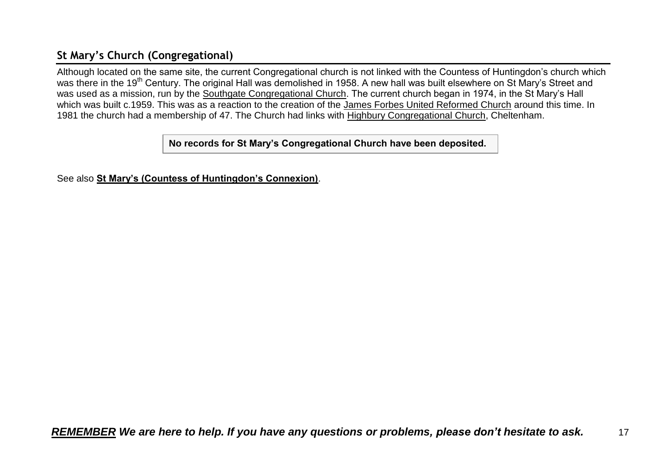# <span id="page-16-0"></span>**St Mary's Church (Congregational)**

Although located on the same site, the current Congregational church is not linked with the Countess of Huntingdon's church which was there in the 19<sup>th</sup> Century. The original Hall was demolished in 1958. A new hall was built elsewhere on St Mary's Street and was used as a mission, run by the Southgate Congregational Church. The current church began in 1974, in the St Mary's Hall which was built c.1959. This was as a reaction to the creation of the James Forbes United Reformed Church around this time. In 1981 the church had a membership of 47. The Church had links with Highbury Congregational Church, Cheltenham.

**No records for St Mary's Congregational Church have been deposited.**

See also **St Mary's (Countess of Huntingdon's Connexion)**.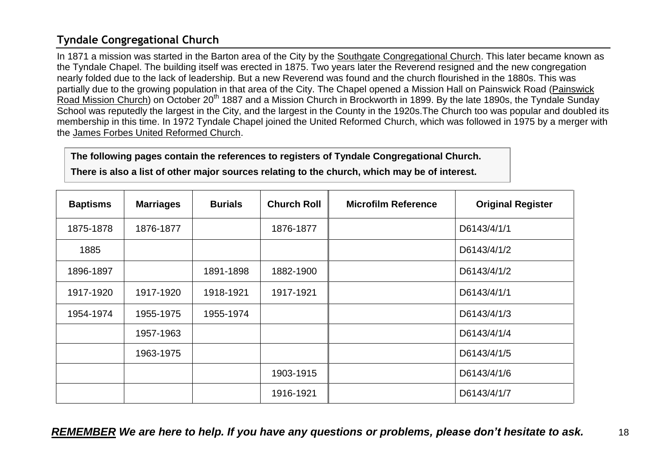# <span id="page-17-0"></span>**Tyndale Congregational Church**

In 1871 a mission was started in the Barton area of the City by the Southgate Congregational Church. This later became known as the Tyndale Chapel. The building itself was erected in 1875. Two years later the Reverend resigned and the new congregation nearly folded due to the lack of leadership. But a new Reverend was found and the church flourished in the 1880s. This was partially due to the growing population in that area of the City. The Chapel opened a Mission Hall on Painswick Road (Painswick Road Mission Church) on October 20<sup>th</sup> 1887 and a Mission Church in Brockworth in 1899. By the late 1890s, the Tyndale Sunday School was reputedly the largest in the City, and the largest in the County in the 1920s.The Church too was popular and doubled its membership in this time. In 1972 Tyndale Chapel joined the United Reformed Church, which was followed in 1975 by a merger with the James Forbes United Reformed Church.

**The following pages contain the references to registers of Tyndale Congregational Church.**

**There is also a list of other major sources relating to the church, which may be of interest.**

| <b>Baptisms</b> | <b>Marriages</b> | <b>Burials</b> | <b>Church Roll</b> | <b>Microfilm Reference</b> | <b>Original Register</b> |
|-----------------|------------------|----------------|--------------------|----------------------------|--------------------------|
| 1875-1878       | 1876-1877        |                | 1876-1877          |                            | D6143/4/1/1              |
| 1885            |                  |                |                    |                            | D6143/4/1/2              |
| 1896-1897       |                  | 1891-1898      | 1882-1900          |                            | D6143/4/1/2              |
| 1917-1920       | 1917-1920        | 1918-1921      | 1917-1921          |                            | D6143/4/1/1              |
| 1954-1974       | 1955-1975        | 1955-1974      |                    |                            | D6143/4/1/3              |
|                 | 1957-1963        |                |                    |                            | D6143/4/1/4              |
|                 | 1963-1975        |                |                    |                            | D6143/4/1/5              |
|                 |                  |                | 1903-1915          |                            | D6143/4/1/6              |
|                 |                  |                | 1916-1921          |                            | D6143/4/1/7              |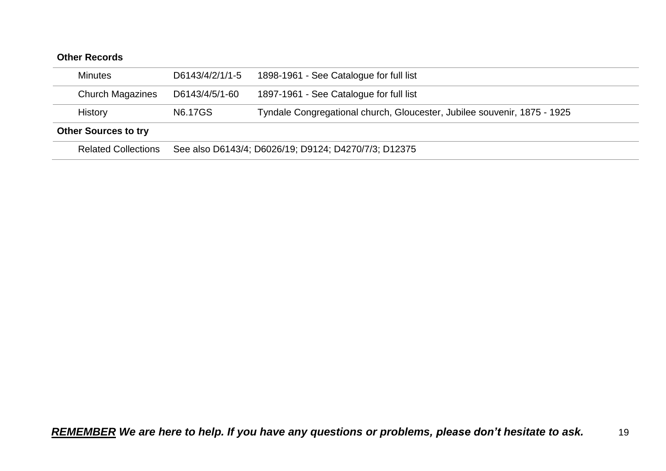| <b>Other Records</b>        |                 |                                                                          |
|-----------------------------|-----------------|--------------------------------------------------------------------------|
| <b>Minutes</b>              | D6143/4/2/1/1-5 | 1898-1961 - See Catalogue for full list                                  |
| <b>Church Magazines</b>     | D6143/4/5/1-60  | 1897-1961 - See Catalogue for full list                                  |
| <b>History</b>              | <b>N6.17GS</b>  | Tyndale Congregational church, Gloucester, Jubilee souvenir, 1875 - 1925 |
| <b>Other Sources to try</b> |                 |                                                                          |
| <b>Related Collections</b>  |                 | See also D6143/4; D6026/19; D9124; D4270/7/3; D12375                     |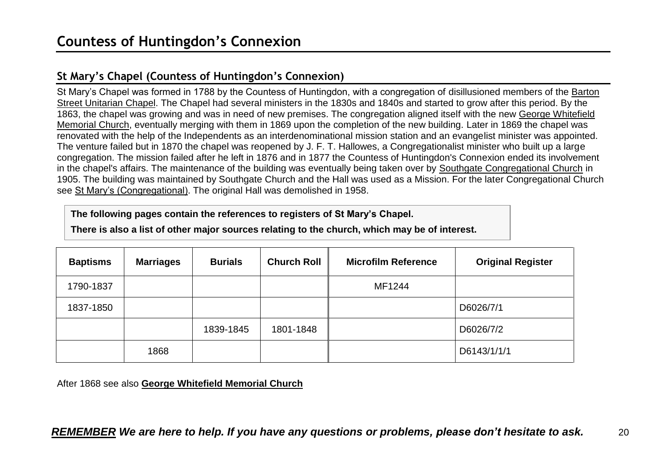# <span id="page-19-1"></span><span id="page-19-0"></span>**St Mary's Chapel (Countess of Huntingdon's Connexion)**

St Mary's Chapel was formed in 1788 by the Countess of Huntingdon, with a congregation of disillusioned members of the Barton Street Unitarian Chapel. The Chapel had several ministers in the 1830s and 1840s and started to grow after this period. By the 1863, the chapel was growing and was in need of new premises. The congregation aligned itself with the new George Whitefield Memorial Church, eventually merging with them in 1869 upon the completion of the new building. Later in 1869 the chapel was renovated with the help of the Independents as an interdenominational mission station and an evangelist minister was appointed. The venture failed but in 1870 the chapel was reopened by J. F. T. Hallowes, a Congregationalist minister who built up a large congregation. The mission failed after he left in 1876 and in 1877 the Countess of Huntingdon's Connexion ended its involvement in the chapel's affairs. The maintenance of the building was eventually being taken over by Southgate Congregational Church in 1905. The building was maintained by Southgate Church and the Hall was used as a Mission. For the later Congregational Church see St Mary's (Congregational). The original Hall was demolished in 1958.

**The following pages contain the references to registers of St Mary's Chapel.**

**There is also a list of other major sources relating to the church, which may be of interest.**

| <b>Baptisms</b> | <b>Marriages</b> | <b>Burials</b> | <b>Church Roll</b> | <b>Microfilm Reference</b> | <b>Original Register</b> |
|-----------------|------------------|----------------|--------------------|----------------------------|--------------------------|
| 1790-1837       |                  |                |                    | MF1244                     |                          |
| 1837-1850       |                  |                |                    |                            | D6026/7/1                |
|                 |                  | 1839-1845      | 1801-1848          |                            | D6026/7/2                |
|                 | 1868             |                |                    |                            | D6143/1/1/1              |

After 1868 see also **George Whitefield Memorial Church**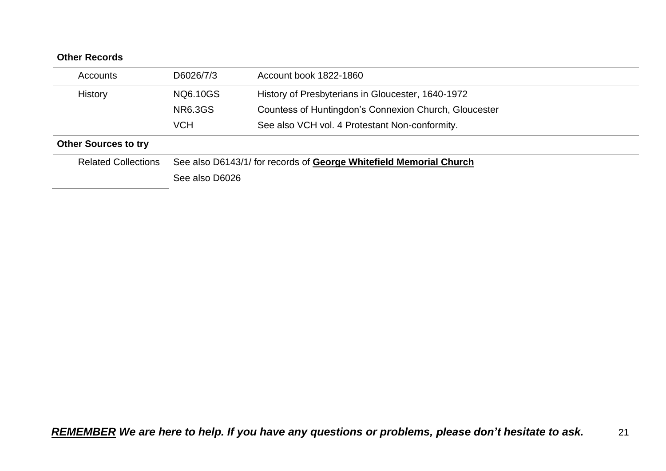| <b>Other Records</b>        |                |                                                                    |
|-----------------------------|----------------|--------------------------------------------------------------------|
| Accounts                    | D6026/7/3      | Account book 1822-1860                                             |
| History                     | NQ6.10GS       | History of Presbyterians in Gloucester, 1640-1972                  |
|                             | <b>NR6.3GS</b> | Countess of Huntingdon's Connexion Church, Gloucester              |
|                             | <b>VCH</b>     | See also VCH vol. 4 Protestant Non-conformity.                     |
| <b>Other Sources to try</b> |                |                                                                    |
| <b>Related Collections</b>  |                | See also D6143/1/ for records of George Whitefield Memorial Church |
|                             | See also D6026 |                                                                    |
|                             |                |                                                                    |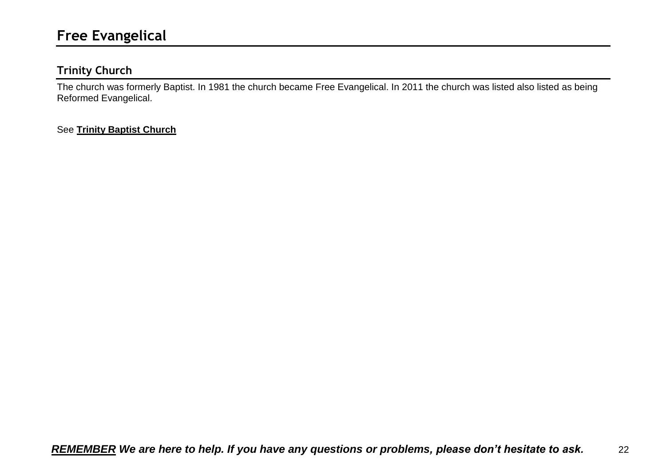# <span id="page-21-1"></span><span id="page-21-0"></span>**Trinity Church**

The church was formerly Baptist. In 1981 the church became Free Evangelical. In 2011 the church was listed also listed as being Reformed Evangelical.

### See **Trinity Baptist Church**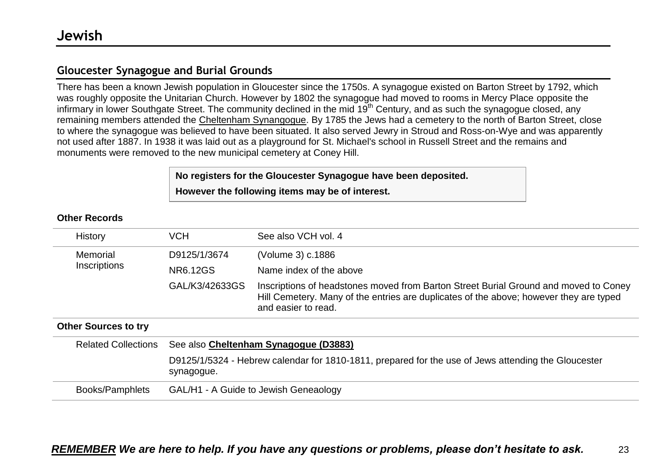# <span id="page-22-1"></span><span id="page-22-0"></span>**Gloucester Synagogue and Burial Grounds**

There has been a known Jewish population in Gloucester since the 1750s. A synagogue existed on Barton Street by 1792, which was roughly opposite the Unitarian Church. However by 1802 the synagogue had moved to rooms in Mercy Place opposite the infirmary in lower Southgate Street. The community declined in the mid 19<sup>th</sup> Century, and as such the synagogue closed, any remaining members attended the Cheltenham Synangogue. By 1785 the Jews had a cemetery to the north of Barton Street, close to where the synagogue was believed to have been situated. It also served Jewry in Stroud and Ross-on-Wye and was apparently not used after 1887. In 1938 it was laid out as a playground for St. Michael's school in Russell Street and the remains and monuments were removed to the new municipal cemetery at Coney Hill.

# **No registers for the Gloucester Synagogue have been deposited. However the following items may be of interest.**

|  | <b>Other Records</b> |
|--|----------------------|
|--|----------------------|

| History                     | <b>VCH</b>                                                                                                        | See also VCH vol. 4                                                                                                                                                                                   |  |  |  |
|-----------------------------|-------------------------------------------------------------------------------------------------------------------|-------------------------------------------------------------------------------------------------------------------------------------------------------------------------------------------------------|--|--|--|
| Memorial                    | D9125/1/3674                                                                                                      | (Volume 3) c.1886                                                                                                                                                                                     |  |  |  |
| Inscriptions                | NR6.12GS                                                                                                          | Name index of the above                                                                                                                                                                               |  |  |  |
|                             | GAL/K3/42633GS                                                                                                    | Inscriptions of headstones moved from Barton Street Burial Ground and moved to Coney<br>Hill Cemetery. Many of the entries are duplicates of the above; however they are typed<br>and easier to read. |  |  |  |
| <b>Other Sources to try</b> |                                                                                                                   |                                                                                                                                                                                                       |  |  |  |
| <b>Related Collections</b>  | See also Cheltenham Synagogue (D3883)                                                                             |                                                                                                                                                                                                       |  |  |  |
|                             | D9125/1/5324 - Hebrew calendar for 1810-1811, prepared for the use of Jews attending the Gloucester<br>synagogue. |                                                                                                                                                                                                       |  |  |  |
| Books/Pamphlets             | GAL/H1 - A Guide to Jewish Geneaology                                                                             |                                                                                                                                                                                                       |  |  |  |
|                             |                                                                                                                   |                                                                                                                                                                                                       |  |  |  |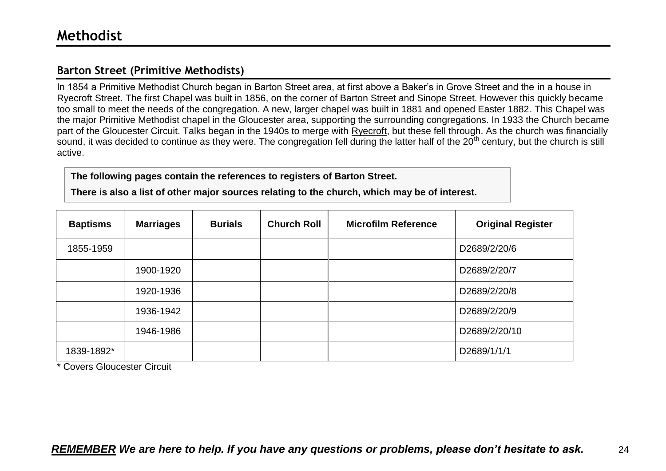# <span id="page-23-1"></span><span id="page-23-0"></span>**Barton Street (Primitive Methodists)**

In 1854 a Primitive Methodist Church began in Barton Street area, at first above a Baker's in Grove Street and the in a house in Ryecroft Street. The first Chapel was built in 1856, on the corner of Barton Street and Sinope Street. However this quickly became too small to meet the needs of the congregation. A new, larger chapel was built in 1881 and opened Easter 1882. This Chapel was the major Primitive Methodist chapel in the Gloucester area, supporting the surrounding congregations. In 1933 the Church became part of the Gloucester Circuit. Talks began in the 1940s to merge with Ryecroft, but these fell through. As the church was financially sound, it was decided to continue as they were. The congregation fell during the latter half of the 20<sup>th</sup> century, but the church is still active.

**The following pages contain the references to registers of Barton Street.**

**There is also a list of other major sources relating to the church, which may be of interest.**

| <b>Baptisms</b> | <b>Marriages</b> | <b>Burials</b> | <b>Church Roll</b> | <b>Microfilm Reference</b> | <b>Original Register</b> |
|-----------------|------------------|----------------|--------------------|----------------------------|--------------------------|
| 1855-1959       |                  |                |                    |                            | D2689/2/20/6             |
|                 | 1900-1920        |                |                    |                            | D2689/2/20/7             |
|                 | 1920-1936        |                |                    |                            | D2689/2/20/8             |
|                 | 1936-1942        |                |                    |                            | D2689/2/20/9             |
|                 | 1946-1986        |                |                    |                            | D2689/2/20/10            |
| 1839-1892*      |                  |                |                    |                            | D2689/1/1/1              |

\* Covers Gloucester Circuit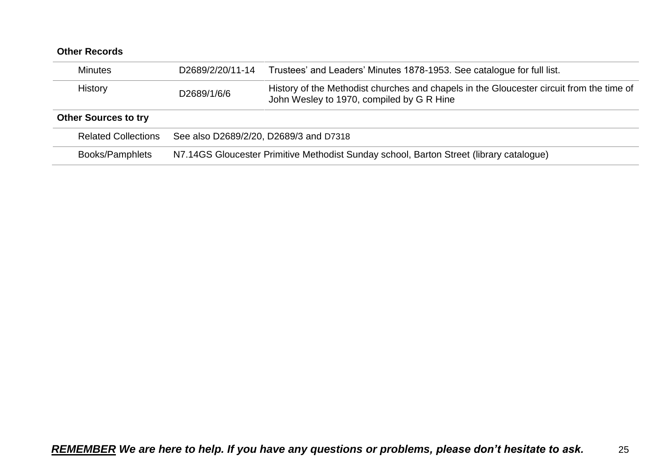| <b>Minutes</b>              | D2689/2/20/11-14                                                                        | Trustees' and Leaders' Minutes 1878-1953. See catalogue for full list.                                                                |  |
|-----------------------------|-----------------------------------------------------------------------------------------|---------------------------------------------------------------------------------------------------------------------------------------|--|
| History                     | D2689/1/6/6                                                                             | History of the Methodist churches and chapels in the Gloucester circuit from the time of<br>John Wesley to 1970, compiled by G R Hine |  |
| <b>Other Sources to try</b> |                                                                                         |                                                                                                                                       |  |
| <b>Related Collections</b>  | See also D2689/2/20, D2689/3 and D7318                                                  |                                                                                                                                       |  |
| Books/Pamphlets             | N7.14GS Gloucester Primitive Methodist Sunday school, Barton Street (library catalogue) |                                                                                                                                       |  |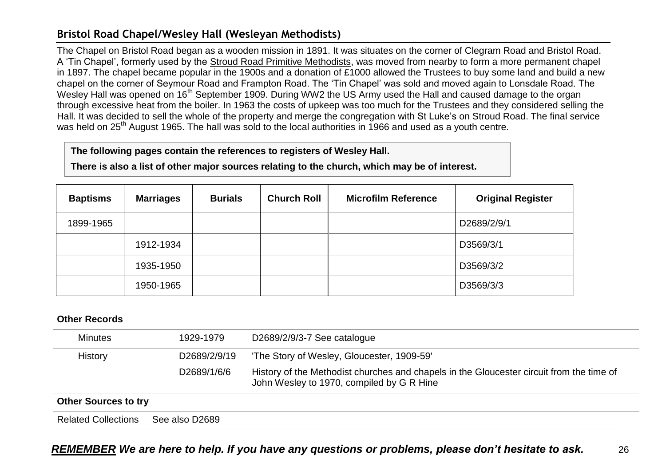# <span id="page-25-0"></span>**Bristol Road Chapel/Wesley Hall (Wesleyan Methodists)**

The Chapel on Bristol Road began as a wooden mission in 1891. It was situates on the corner of Clegram Road and Bristol Road. A 'Tin Chapel', formerly used by the Stroud Road Primitive Methodists, was moved from nearby to form a more permanent chapel in 1897. The chapel became popular in the 1900s and a donation of £1000 allowed the Trustees to buy some land and build a new chapel on the corner of Seymour Road and Frampton Road. The 'Tin Chapel' was sold and moved again to Lonsdale Road. The Wesley Hall was opened on 16<sup>th</sup> September 1909. During WW2 the US Army used the Hall and caused damage to the organ through excessive heat from the boiler. In 1963 the costs of upkeep was too much for the Trustees and they considered selling the Hall. It was decided to sell the whole of the property and merge the congregation with St Luke's on Stroud Road. The final service was held on 25<sup>th</sup> August 1965. The hall was sold to the local authorities in 1966 and used as a youth centre.

#### **The following pages contain the references to registers of Wesley Hall.**

**There is also a list of other major sources relating to the church, which may be of interest.**

| <b>Baptisms</b> | <b>Marriages</b> | <b>Burials</b> | <b>Church Roll</b> | <b>Microfilm Reference</b> | <b>Original Register</b> |
|-----------------|------------------|----------------|--------------------|----------------------------|--------------------------|
| 1899-1965       |                  |                |                    |                            | D2689/2/9/1              |
|                 | 1912-1934        |                |                    |                            | D3569/3/1                |
|                 | 1935-1950        |                |                    |                            | D3569/3/2                |
|                 | 1950-1965        |                |                    |                            | D3569/3/3                |

| Minutes                     | 1929-1979      | D2689/2/9/3-7 See catalogue                                                                                                           |
|-----------------------------|----------------|---------------------------------------------------------------------------------------------------------------------------------------|
| History                     | D2689/2/9/19   | 'The Story of Wesley, Gloucester, 1909-59'                                                                                            |
|                             | D2689/1/6/6    | History of the Methodist churches and chapels in the Gloucester circuit from the time of<br>John Wesley to 1970, compiled by G R Hine |
| <b>Other Sources to try</b> |                |                                                                                                                                       |
| <b>Related Collections</b>  | See also D2689 |                                                                                                                                       |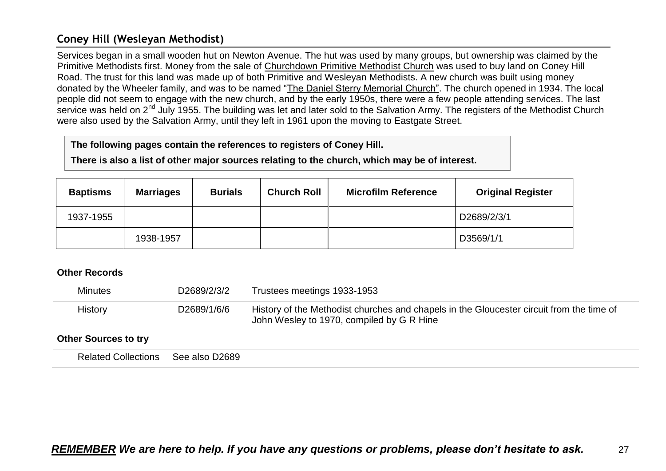# <span id="page-26-0"></span>**Coney Hill (Wesleyan Methodist)**

Services began in a small wooden hut on Newton Avenue. The hut was used by many groups, but ownership was claimed by the Primitive Methodists first. Money from the sale of Churchdown Primitive Methodist Church was used to buy land on Coney Hill Road. The trust for this land was made up of both Primitive and Wesleyan Methodists. A new church was built using money donated by the Wheeler family, and was to be named "The Daniel Sterry Memorial Church". The church opened in 1934. The local people did not seem to engage with the new church, and by the early 1950s, there were a few people attending services. The last service was held on 2<sup>nd</sup> July 1955. The building was let and later sold to the Salvation Army. The registers of the Methodist Church were also used by the Salvation Army, until they left in 1961 upon the moving to Eastgate Street.

#### **The following pages contain the references to registers of Coney Hill.**

**There is also a list of other major sources relating to the church, which may be of interest.**

| <b>Baptisms</b> | <b>Marriages</b> | <b>Burials</b> | <b>Church Roll</b> | <b>Microfilm Reference</b> | <b>Original Register</b> |
|-----------------|------------------|----------------|--------------------|----------------------------|--------------------------|
| 1937-1955       |                  |                |                    |                            | D2689/2/3/1              |
|                 | 1938-1957        |                |                    |                            | D3569/1/1                |

| <b>Minutes</b>              | D2689/2/3/2    | Trustees meetings 1933-1953                                                                                                           |
|-----------------------------|----------------|---------------------------------------------------------------------------------------------------------------------------------------|
| History                     | D2689/1/6/6    | History of the Methodist churches and chapels in the Gloucester circuit from the time of<br>John Wesley to 1970, compiled by G R Hine |
| <b>Other Sources to try</b> |                |                                                                                                                                       |
| <b>Related Collections</b>  | See also D2689 |                                                                                                                                       |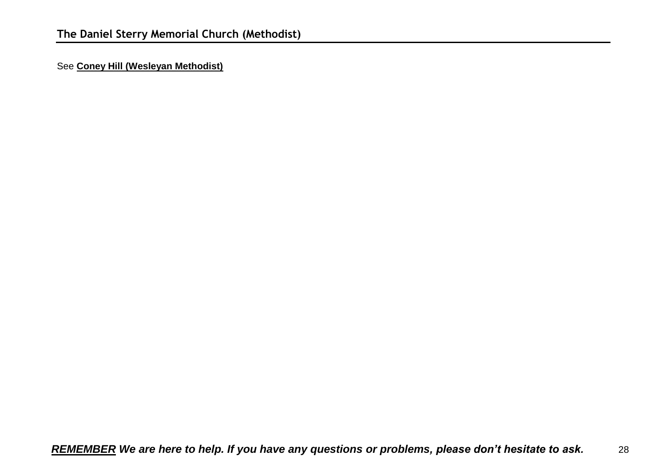<span id="page-27-0"></span>See **Coney Hill (Wesleyan Methodist)**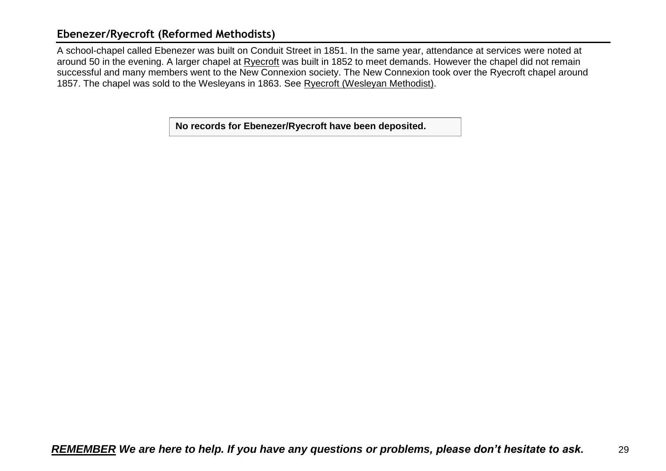### <span id="page-28-0"></span>**Ebenezer/Ryecroft (Reformed Methodists)**

A school-chapel called Ebenezer was built on Conduit Street in 1851. In the same year, attendance at services were noted at around 50 in the evening. A larger chapel at Ryecroft was built in 1852 to meet demands. However the chapel did not remain successful and many members went to the New Connexion society. The New Connexion took over the Ryecroft chapel around 1857. The chapel was sold to the Wesleyans in 1863. See Ryecroft (Wesleyan Methodist).

**No records for Ebenezer/Ryecroft have been deposited.**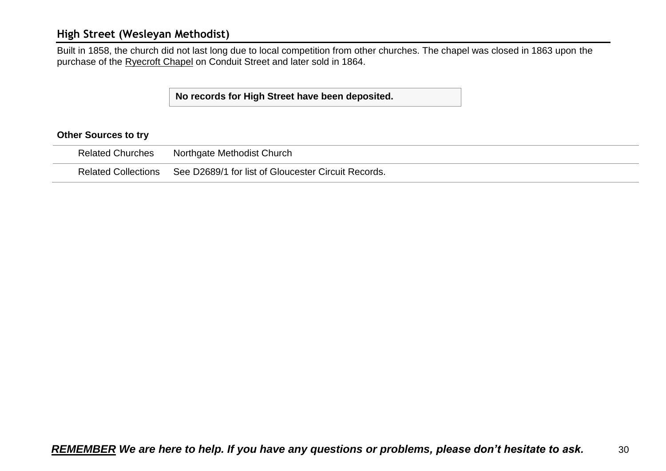### <span id="page-29-0"></span>**High Street (Wesleyan Methodist)**

Built in 1858, the church did not last long due to local competition from other churches. The chapel was closed in 1863 upon the purchase of the Ryecroft Chapel on Conduit Street and later sold in 1864.

#### **No records for High Street have been deposited.**

#### **Other Sources to try**

| <b>Related Churches</b> | Northgate Methodist Church                                              |
|-------------------------|-------------------------------------------------------------------------|
|                         | Related Collections See D2689/1 for list of Gloucester Circuit Records. |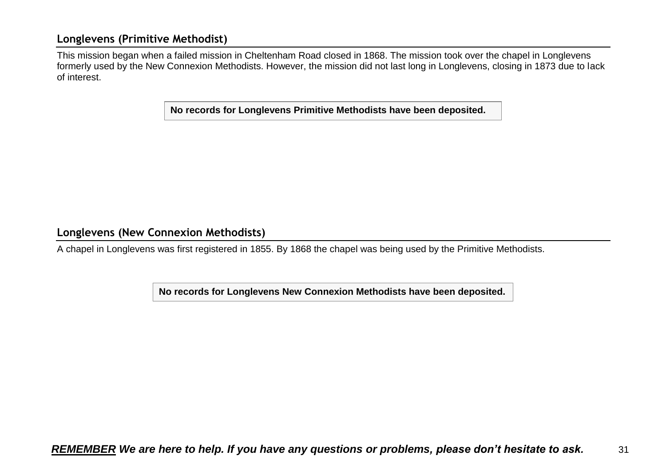### <span id="page-30-0"></span>**Longlevens (Primitive Methodist)**

This mission began when a failed mission in Cheltenham Road closed in 1868. The mission took over the chapel in Longlevens formerly used by the New Connexion Methodists. However, the mission did not last long in Longlevens, closing in 1873 due to lack of interest.

**No records for Longlevens Primitive Methodists have been deposited.**

<span id="page-30-1"></span>**Longlevens (New Connexion Methodists)** 

A chapel in Longlevens was first registered in 1855. By 1868 the chapel was being used by the Primitive Methodists.

**No records for Longlevens New Connexion Methodists have been deposited.**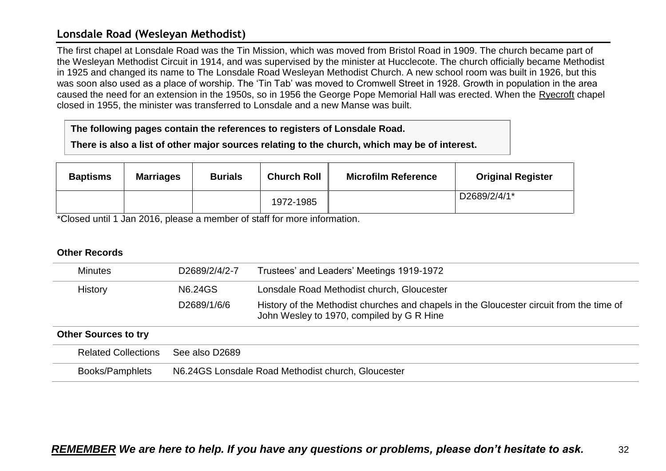### <span id="page-31-0"></span>**Lonsdale Road (Wesleyan Methodist)**

The first chapel at Lonsdale Road was the Tin Mission, which was moved from Bristol Road in 1909. The church became part of the Wesleyan Methodist Circuit in 1914, and was supervised by the minister at Hucclecote. The church officially became Methodist in 1925 and changed its name to The Lonsdale Road Wesleyan Methodist Church. A new school room was built in 1926, but this was soon also used as a place of worship. The 'Tin Tab' was moved to Cromwell Street in 1928. Growth in population in the area caused the need for an extension in the 1950s, so in 1956 the George Pope Memorial Hall was erected. When the Ryecroft chapel closed in 1955, the minister was transferred to Lonsdale and a new Manse was built.

#### **The following pages contain the references to registers of Lonsdale Road.**

**There is also a list of other major sources relating to the church, which may be of interest.**

| <b>Baptisms</b> | <b>Marriages</b> | <b>Burials</b> | <b>Church Roll</b> | <b>Microfilm Reference</b> | <b>Original Register</b> |
|-----------------|------------------|----------------|--------------------|----------------------------|--------------------------|
|                 |                  |                | 1972-1985          |                            | D2689/2/4/1*             |

\*Closed until 1 Jan 2016, please a member of staff for more information.

| <b>Minutes</b>              | D2689/2/4/2-7                                         | Trustees' and Leaders' Meetings 1919-1972                                                                                             |  |  |
|-----------------------------|-------------------------------------------------------|---------------------------------------------------------------------------------------------------------------------------------------|--|--|
| <b>History</b>              | N6.24GS<br>Lonsdale Road Methodist church, Gloucester |                                                                                                                                       |  |  |
|                             | D2689/1/6/6                                           | History of the Methodist churches and chapels in the Gloucester circuit from the time of<br>John Wesley to 1970, compiled by G R Hine |  |  |
| <b>Other Sources to try</b> |                                                       |                                                                                                                                       |  |  |
| <b>Related Collections</b>  | See also D2689                                        |                                                                                                                                       |  |  |
| Books/Pamphlets             | N6.24GS Lonsdale Road Methodist church, Gloucester    |                                                                                                                                       |  |  |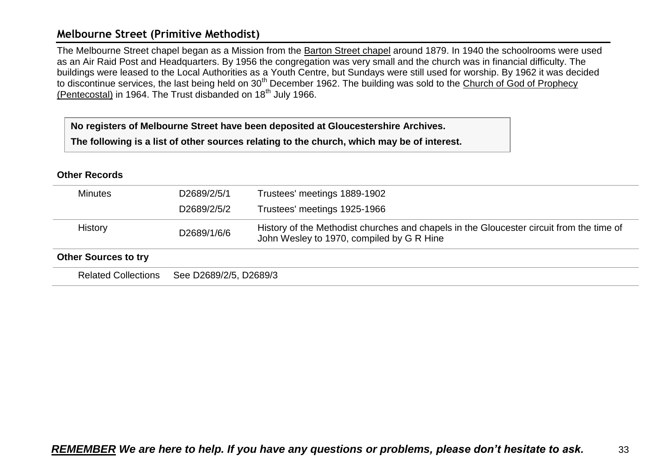### <span id="page-32-0"></span>**Melbourne Street (Primitive Methodist)**

The Melbourne Street chapel began as a Mission from the Barton Street chapel around 1879. In 1940 the schoolrooms were used as an Air Raid Post and Headquarters. By 1956 the congregation was very small and the church was in financial difficulty. The buildings were leased to the Local Authorities as a Youth Centre, but Sundays were still used for worship. By 1962 it was decided to discontinue services, the last being held on 30<sup>th</sup> December 1962. The building was sold to the Church of God of Prophecy (Pentecostal) in 1964. The Trust disbanded on  $18<sup>th</sup>$  July 1966.

**No registers of Melbourne Street have been deposited at Gloucestershire Archives.**

**The following is a list of other sources relating to the church, which may be of interest.**

| <b>Minutes</b>              | D <sub>2689</sub> /2/5/1 | Trustees' meetings 1889-1902                                                                                                          |
|-----------------------------|--------------------------|---------------------------------------------------------------------------------------------------------------------------------------|
|                             | D2689/2/5/2              | Trustees' meetings 1925-1966                                                                                                          |
| History                     | D2689/1/6/6              | History of the Methodist churches and chapels in the Gloucester circuit from the time of<br>John Wesley to 1970, compiled by G R Hine |
| <b>Other Sources to try</b> |                          |                                                                                                                                       |
| <b>Related Collections</b>  | See D2689/2/5, D2689/3   |                                                                                                                                       |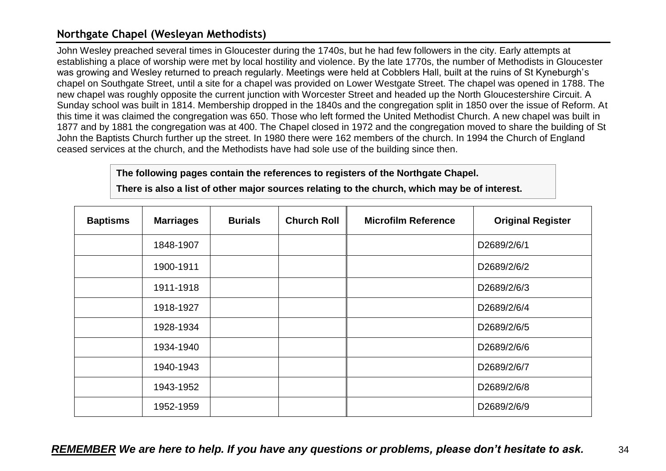# <span id="page-33-0"></span>**Northgate Chapel (Wesleyan Methodists)**

John Wesley preached several times in Gloucester during the 1740s, but he had few followers in the city. Early attempts at establishing a place of worship were met by local hostility and violence. By the late 1770s, the number of Methodists in Gloucester was growing and Wesley returned to preach regularly. Meetings were held at Cobblers Hall, built at the ruins of St Kyneburgh's chapel on Southgate Street, until a site for a chapel was provided on Lower Westgate Street. The chapel was opened in 1788. The new chapel was roughly opposite the current junction with Worcester Street and headed up the North Gloucestershire Circuit. A Sunday school was built in 1814. Membership dropped in the 1840s and the congregation split in 1850 over the issue of Reform. At this time it was claimed the congregation was 650. Those who left formed the United Methodist Church. A new chapel was built in 1877 and by 1881 the congregation was at 400. The Chapel closed in 1972 and the congregation moved to share the building of St John the Baptists Church further up the street. In 1980 there were 162 members of the church. In 1994 the Church of England ceased services at the church, and the Methodists have had sole use of the building since then.

#### **The following pages contain the references to registers of the Northgate Chapel.**

**There is also a list of other major sources relating to the church, which may be of interest.**

| <b>Baptisms</b> | <b>Marriages</b> | <b>Burials</b> | <b>Church Roll</b> | <b>Microfilm Reference</b> | <b>Original Register</b> |
|-----------------|------------------|----------------|--------------------|----------------------------|--------------------------|
|                 | 1848-1907        |                |                    |                            | D2689/2/6/1              |
|                 | 1900-1911        |                |                    |                            | D2689/2/6/2              |
|                 | 1911-1918        |                |                    |                            | D2689/2/6/3              |
|                 | 1918-1927        |                |                    |                            | D2689/2/6/4              |
|                 | 1928-1934        |                |                    |                            | D2689/2/6/5              |
|                 | 1934-1940        |                |                    |                            | D2689/2/6/6              |
|                 | 1940-1943        |                |                    |                            | D2689/2/6/7              |
|                 | 1943-1952        |                |                    |                            | D2689/2/6/8              |
|                 | 1952-1959        |                |                    |                            | D2689/2/6/9              |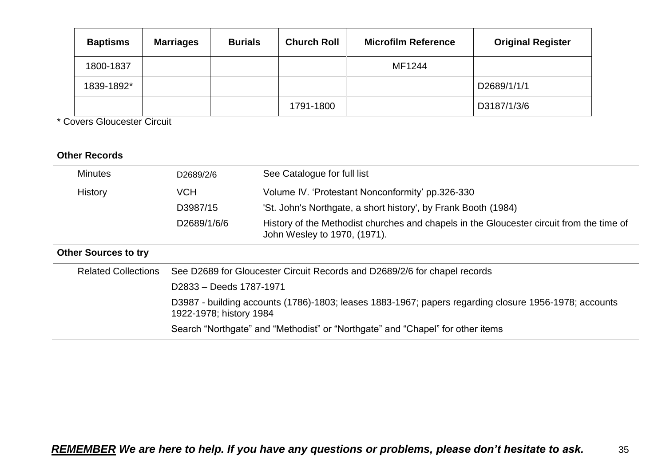| <b>Baptisms</b> | <b>Marriages</b> | <b>Burials</b> | <b>Church Roll</b> | <b>Microfilm Reference</b> | <b>Original Register</b> |
|-----------------|------------------|----------------|--------------------|----------------------------|--------------------------|
| 1800-1837       |                  |                |                    | MF1244                     |                          |
| 1839-1892*      |                  |                |                    |                            | D2689/1/1/1              |
|                 |                  |                | 1791-1800          |                            | D3187/1/3/6              |

\* Covers Gloucester Circuit

| <b>Minutes</b>              | D2689/2/6                                                                                                                                                                                                          | See Catalogue for full list                                                                                              |  |  |
|-----------------------------|--------------------------------------------------------------------------------------------------------------------------------------------------------------------------------------------------------------------|--------------------------------------------------------------------------------------------------------------------------|--|--|
|                             |                                                                                                                                                                                                                    |                                                                                                                          |  |  |
| <b>History</b>              | <b>VCH</b>                                                                                                                                                                                                         | Volume IV. 'Protestant Nonconformity' pp.326-330                                                                         |  |  |
|                             | D3987/15                                                                                                                                                                                                           | 'St. John's Northgate, a short history', by Frank Booth (1984)                                                           |  |  |
|                             | D2689/1/6/6                                                                                                                                                                                                        | History of the Methodist churches and chapels in the Gloucester circuit from the time of<br>John Wesley to 1970, (1971). |  |  |
| <b>Other Sources to try</b> |                                                                                                                                                                                                                    |                                                                                                                          |  |  |
| <b>Related Collections</b>  |                                                                                                                                                                                                                    | See D2689 for Gloucester Circuit Records and D2689/2/6 for chapel records                                                |  |  |
|                             | D2833 - Deeds 1787-1971                                                                                                                                                                                            |                                                                                                                          |  |  |
|                             | D3987 - building accounts (1786)-1803; leases 1883-1967; papers regarding closure 1956-1978; accounts<br>1922-1978; history 1984<br>Search "Northgate" and "Methodist" or "Northgate" and "Chapel" for other items |                                                                                                                          |  |  |
|                             |                                                                                                                                                                                                                    |                                                                                                                          |  |  |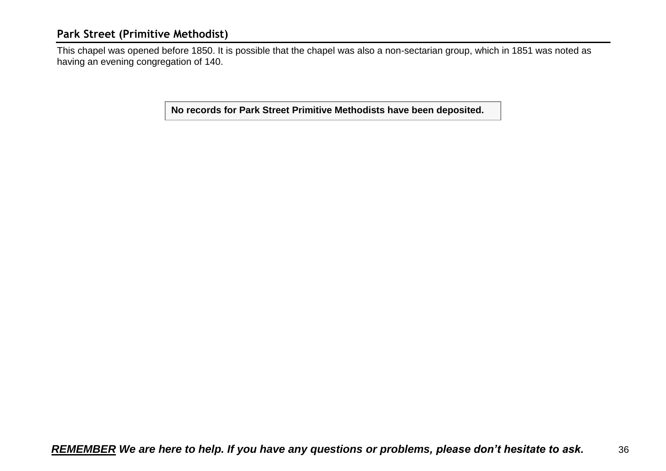### <span id="page-35-0"></span>**Park Street (Primitive Methodist)**

This chapel was opened before 1850. It is possible that the chapel was also a non-sectarian group, which in 1851 was noted as having an evening congregation of 140.

**No records for Park Street Primitive Methodists have been deposited.**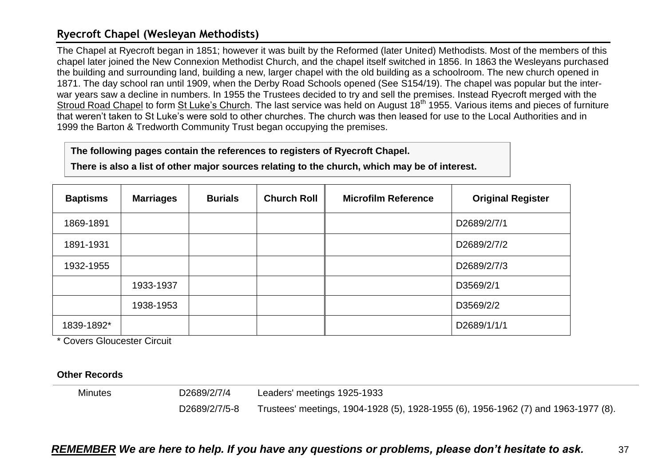### <span id="page-36-0"></span>**Ryecroft Chapel (Wesleyan Methodists)**

The Chapel at Ryecroft began in 1851; however it was built by the Reformed (later United) Methodists. Most of the members of this chapel later joined the New Connexion Methodist Church, and the chapel itself switched in 1856. In 1863 the Wesleyans purchased the building and surrounding land, building a new, larger chapel with the old building as a schoolroom. The new church opened in 1871. The day school ran until 1909, when the Derby Road Schools opened (See S154/19). The chapel was popular but the interwar years saw a decline in numbers. In 1955 the Trustees decided to try and sell the premises. Instead Ryecroft merged with the Stroud Road Chapel to form St Luke's Church. The last service was held on August 18<sup>th</sup> 1955. Various items and pieces of furniture that weren't taken to St Luke's were sold to other churches. The church was then leased for use to the Local Authorities and in 1999 the Barton & Tredworth Community Trust began occupying the premises.

**The following pages contain the references to registers of Ryecroft Chapel.**

**There is also a list of other major sources relating to the church, which may be of interest.**

| <b>Baptisms</b> | <b>Marriages</b> | <b>Burials</b> | <b>Church Roll</b> | <b>Microfilm Reference</b> | <b>Original Register</b> |
|-----------------|------------------|----------------|--------------------|----------------------------|--------------------------|
| 1869-1891       |                  |                |                    |                            | D2689/2/7/1              |
| 1891-1931       |                  |                |                    |                            | D2689/2/7/2              |
| 1932-1955       |                  |                |                    |                            | D2689/2/7/3              |
|                 | 1933-1937        |                |                    |                            | D3569/2/1                |
|                 | 1938-1953        |                |                    |                            | D3569/2/2                |
| 1839-1892*      |                  |                |                    |                            | D2689/1/1/1              |

\* Covers Gloucester Circuit

**Other Records**

Minutes D2689/2/7/4 D2689/2/7/5-8 Leaders' meetings 1925-1933 Trustees' meetings, 1904-1928 (5), 1928-1955 (6), 1956-1962 (7) and 1963-1977 (8).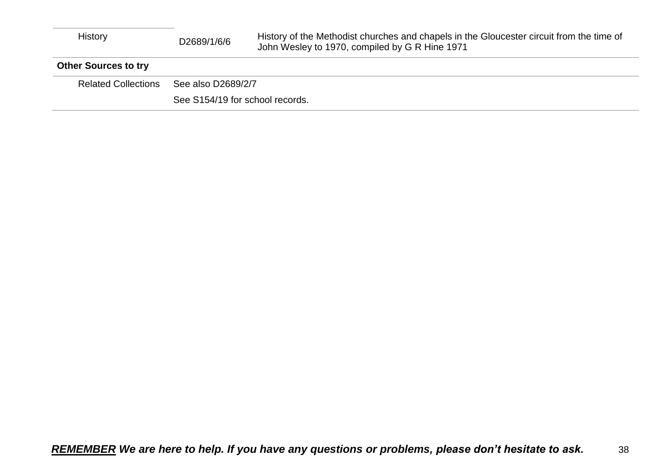| History                     | D2689/1/6/6                     | History of the Methodist churches and chapels in the Gloucester circuit from the time of<br>John Wesley to 1970, compiled by G R Hine 1971 |
|-----------------------------|---------------------------------|--------------------------------------------------------------------------------------------------------------------------------------------|
| <b>Other Sources to try</b> |                                 |                                                                                                                                            |
| <b>Related Collections</b>  | See also D2689/2/7              |                                                                                                                                            |
|                             | See S154/19 for school records. |                                                                                                                                            |
|                             |                                 |                                                                                                                                            |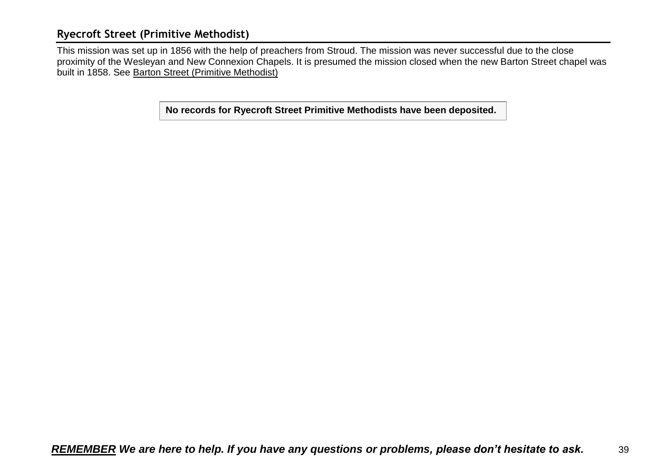# <span id="page-38-0"></span>**Ryecroft Street (Primitive Methodist)**

This mission was set up in 1856 with the help of preachers from Stroud. The mission was never successful due to the close proximity of the Wesleyan and New Connexion Chapels. It is presumed the mission closed when the new Barton Street chapel was built in 1858. See Barton Street (Primitive Methodist)

**No records for Ryecroft Street Primitive Methodists have been deposited.**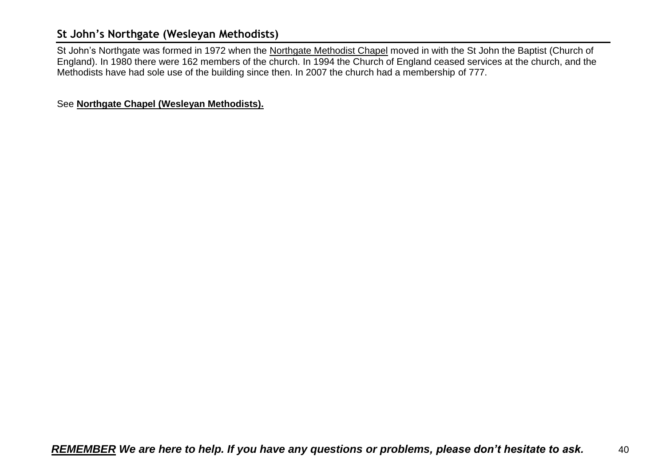# <span id="page-39-0"></span>**St John's Northgate (Wesleyan Methodists)**

St John's Northgate was formed in 1972 when the Northgate Methodist Chapel moved in with the St John the Baptist (Church of England). In 1980 there were 162 members of the church. In 1994 the Church of England ceased services at the church, and the Methodists have had sole use of the building since then. In 2007 the church had a membership of 777.

See **Northgate Chapel (Wesleyan Methodists).**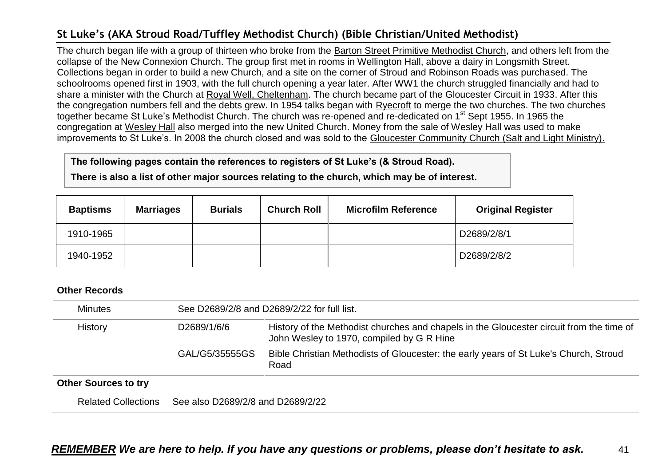# <span id="page-40-0"></span>**St Luke's (AKA Stroud Road/Tuffley Methodist Church) (Bible Christian/United Methodist)**

The church began life with a group of thirteen who broke from the Barton Street Primitive Methodist Church, and others left from the collapse of the New Connexion Church. The group first met in rooms in Wellington Hall, above a dairy in Longsmith Street. Collections began in order to build a new Church, and a site on the corner of Stroud and Robinson Roads was purchased. The schoolrooms opened first in 1903, with the full church opening a year later. After WW1 the church struggled financially and had to share a minister with the Church at Royal Well, Cheltenham. The church became part of the Gloucester Circuit in 1933. After this the congregation numbers fell and the debts grew. In 1954 talks began with Ryecroft to merge the two churches. The two churches together became St Luke's Methodist Church. The church was re-opened and re-dedicated on 1<sup>st</sup> Sept 1955. In 1965 the congregation at Wesley Hall also merged into the new United Church. Money from the sale of Wesley Hall was used to make improvements to St Luke's. In 2008 the church closed and was sold to the Gloucester Community Church (Salt and Light Ministry).

#### **The following pages contain the references to registers of St Luke's (& Stroud Road).**

**There is also a list of other major sources relating to the church, which may be of interest.**

| <b>Baptisms</b> | <b>Marriages</b> | <b>Burials</b> | <b>Church Roll</b> | <b>Microfilm Reference</b> | <b>Original Register</b> |
|-----------------|------------------|----------------|--------------------|----------------------------|--------------------------|
| 1910-1965       |                  |                |                    |                            | D2689/2/8/1              |
| 1940-1952       |                  |                |                    |                            | D2689/2/8/2              |

| <b>Minutes</b>              | See D2689/2/8 and D2689/2/22 for full list. |                                                                                                                                       |  |  |  |
|-----------------------------|---------------------------------------------|---------------------------------------------------------------------------------------------------------------------------------------|--|--|--|
| History                     | D2689/1/6/6                                 | History of the Methodist churches and chapels in the Gloucester circuit from the time of<br>John Wesley to 1970, compiled by G R Hine |  |  |  |
|                             | GAL/G5/35555GS                              | Bible Christian Methodists of Gloucester: the early years of St Luke's Church, Stroud<br>Road                                         |  |  |  |
| <b>Other Sources to try</b> |                                             |                                                                                                                                       |  |  |  |
| <b>Related Collections</b>  | See also D2689/2/8 and D2689/2/22           |                                                                                                                                       |  |  |  |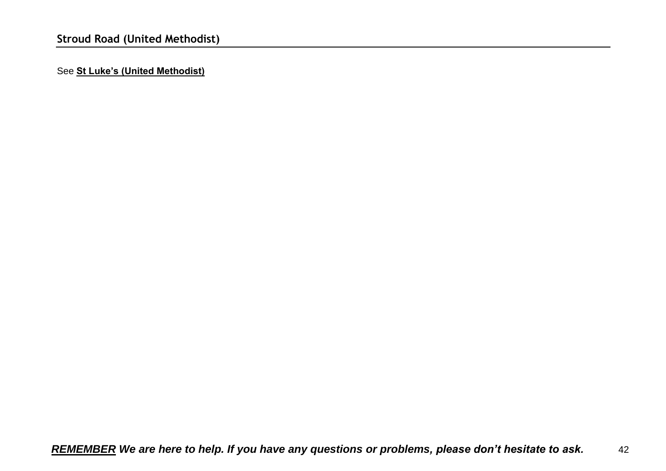<span id="page-41-0"></span>See **St Luke's (United Methodist)**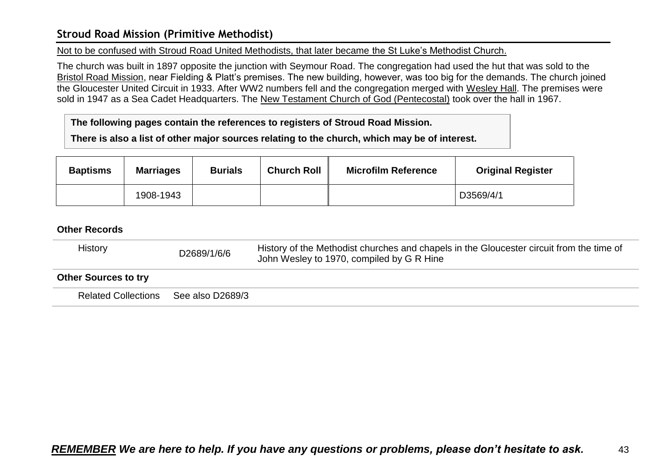### <span id="page-42-0"></span>**Stroud Road Mission (Primitive Methodist)**

Not to be confused with Stroud Road United Methodists, that later became the St Luke's Methodist Church.

The church was built in 1897 opposite the junction with Seymour Road. The congregation had used the hut that was sold to the Bristol Road Mission, near Fielding & Platt's premises. The new building, however, was too big for the demands. The church joined the Gloucester United Circuit in 1933. After WW2 numbers fell and the congregation merged with Wesley Hall. The premises were sold in 1947 as a Sea Cadet Headquarters. The New Testament Church of God (Pentecostal) took over the hall in 1967.

**The following pages contain the references to registers of Stroud Road Mission.**

**There is also a list of other major sources relating to the church, which may be of interest.**

| <b>Baptisms</b> | <b>Marriages</b> | <b>Burials</b> | <b>Church Roll</b> | <b>Microfilm Reference</b> | <b>Original Register</b> |
|-----------------|------------------|----------------|--------------------|----------------------------|--------------------------|
|                 | 1908-1943        |                |                    |                            | D3569/4/1                |

| History                     | D2689/1/6/6      | History of the Methodist churches and chapels in the Gloucester circuit from the time of<br>John Wesley to 1970, compiled by G R Hine |
|-----------------------------|------------------|---------------------------------------------------------------------------------------------------------------------------------------|
| <b>Other Sources to try</b> |                  |                                                                                                                                       |
| <b>Related Collections</b>  | See also D2689/3 |                                                                                                                                       |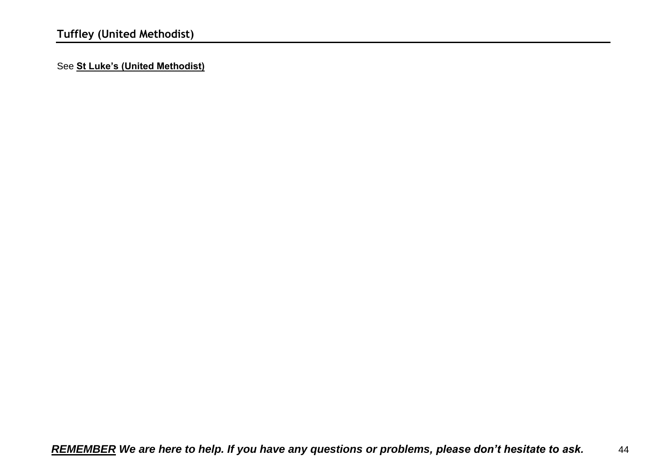<span id="page-43-0"></span>See **St Luke's (United Methodist)**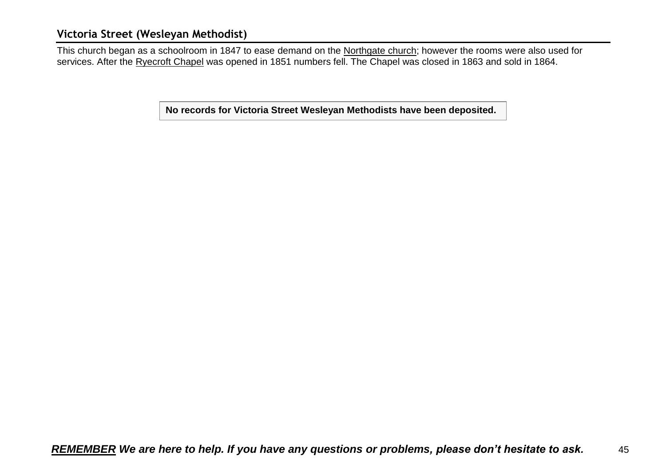### <span id="page-44-0"></span>**Victoria Street (Wesleyan Methodist)**

This church began as a schoolroom in 1847 to ease demand on the Northgate church; however the rooms were also used for services. After the Ryecroft Chapel was opened in 1851 numbers fell. The Chapel was closed in 1863 and sold in 1864.

**No records for Victoria Street Wesleyan Methodists have been deposited.**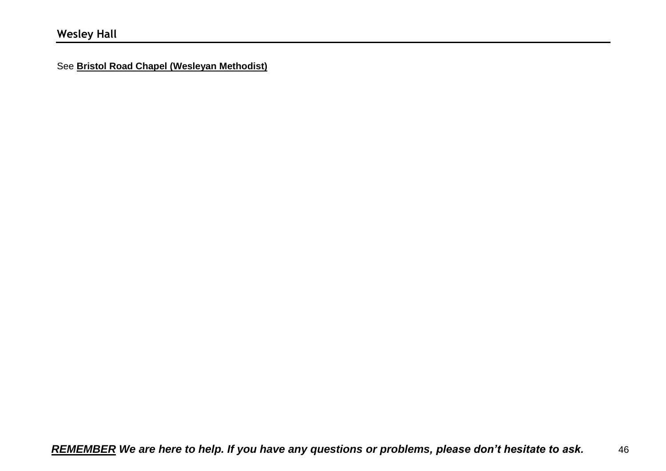<span id="page-45-0"></span>See **Bristol Road Chapel (Wesleyan Methodist)**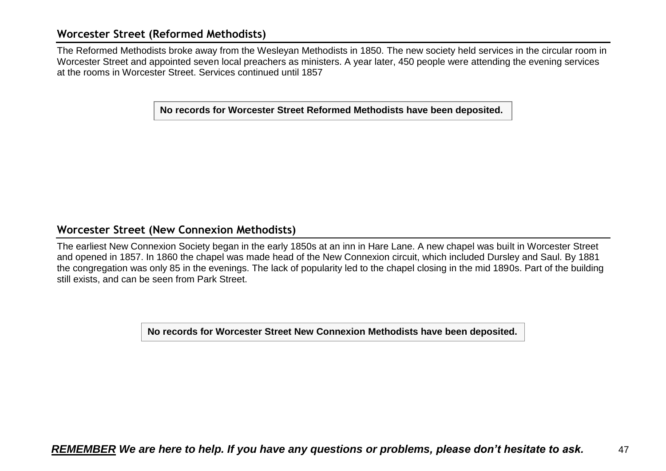### <span id="page-46-0"></span>**Worcester Street (Reformed Methodists)**

The Reformed Methodists broke away from the Wesleyan Methodists in 1850. The new society held services in the circular room in Worcester Street and appointed seven local preachers as ministers. A year later, 450 people were attending the evening services at the rooms in Worcester Street. Services continued until 1857

**No records for Worcester Street Reformed Methodists have been deposited.**

#### <span id="page-46-1"></span>**Worcester Street (New Connexion Methodists)**

The earliest New Connexion Society began in the early 1850s at an inn in Hare Lane. A new chapel was built in Worcester Street and opened in 1857. In 1860 the chapel was made head of the New Connexion circuit, which included Dursley and Saul. By 1881 the congregation was only 85 in the evenings. The lack of popularity led to the chapel closing in the mid 1890s. Part of the building still exists, and can be seen from Park Street.

**No records for Worcester Street New Connexion Methodists have been deposited.**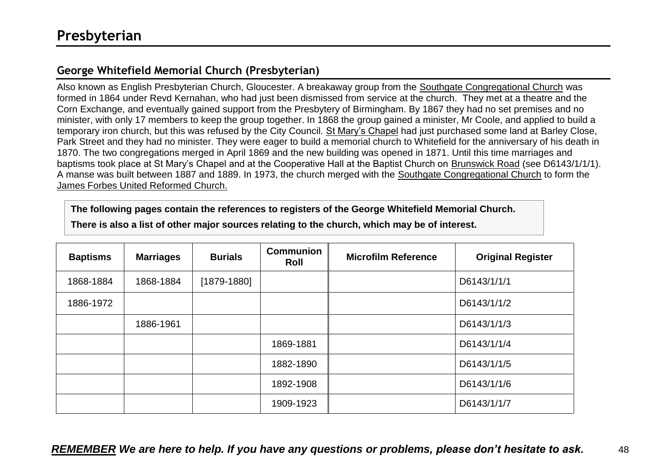# <span id="page-47-1"></span><span id="page-47-0"></span>**George Whitefield Memorial Church (Presbyterian)**

Also known as English Presbyterian Church, Gloucester. A breakaway group from the Southgate Congregational Church was formed in 1864 under Revd Kernahan, who had just been dismissed from service at the church. They met at a theatre and the Corn Exchange, and eventually gained support from the Presbytery of Birmingham. By 1867 they had no set premises and no minister, with only 17 members to keep the group together. In 1868 the group gained a minister, Mr Coole, and applied to build a temporary iron church, but this was refused by the City Council. St Mary's Chapel had just purchased some land at Barley Close, Park Street and they had no minister. They were eager to build a memorial church to Whitefield for the anniversary of his death in 1870. The two congregations merged in April 1869 and the new building was opened in 1871. Until this time marriages and baptisms took place at St Mary's Chapel and at the Cooperative Hall at the Baptist Church on Brunswick Road (see D6143/1/1/1). A manse was built between 1887 and 1889. In 1973, the church merged with the Southgate Congregational Church to form the James Forbes United Reformed Church.

#### **The following pages contain the references to registers of the George Whitefield Memorial Church.**

| <b>Baptisms</b> | <b>Marriages</b> | <b>Burials</b> | <b>Communion</b><br>Roll | <b>Microfilm Reference</b> | <b>Original Register</b> |
|-----------------|------------------|----------------|--------------------------|----------------------------|--------------------------|
| 1868-1884       | 1868-1884        | $[1879-1880]$  |                          |                            | D6143/1/1/1              |
| 1886-1972       |                  |                |                          |                            | D6143/1/1/2              |
|                 | 1886-1961        |                |                          |                            | D6143/1/1/3              |
|                 |                  |                | 1869-1881                |                            | D6143/1/1/4              |
|                 |                  |                | 1882-1890                |                            | D6143/1/1/5              |
|                 |                  |                | 1892-1908                |                            | D6143/1/1/6              |
|                 |                  |                | 1909-1923                |                            | D6143/1/1/7              |
|                 |                  |                |                          |                            |                          |

**There is also a list of other major sources relating to the church, which may be of interest.**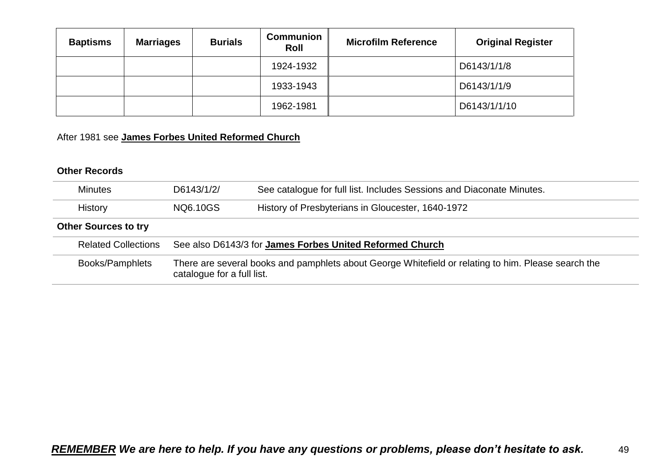| <b>Baptisms</b> | <b>Marriages</b> | <b>Burials</b> | <b>Communion</b><br>Roll | <b>Microfilm Reference</b> | <b>Original Register</b> |
|-----------------|------------------|----------------|--------------------------|----------------------------|--------------------------|
|                 |                  |                | 1924-1932                |                            | D6143/1/1/8              |
|                 |                  |                | 1933-1943                |                            | D6143/1/1/9              |
|                 |                  |                | 1962-1981                |                            | D6143/1/1/10             |

# After 1981 see **James Forbes United Reformed Church**

| <b>Minutes</b>              | D6143/1/2/                                                                                                                        | See catalogue for full list. Includes Sessions and Diaconate Minutes. |  |
|-----------------------------|-----------------------------------------------------------------------------------------------------------------------------------|-----------------------------------------------------------------------|--|
| History                     | NQ6.10GS                                                                                                                          | History of Presbyterians in Gloucester, 1640-1972                     |  |
| <b>Other Sources to try</b> |                                                                                                                                   |                                                                       |  |
| <b>Related Collections</b>  |                                                                                                                                   | See also D6143/3 for James Forbes United Reformed Church              |  |
| Books/Pamphlets             | There are several books and pamphlets about George Whitefield or relating to him. Please search the<br>catalogue for a full list. |                                                                       |  |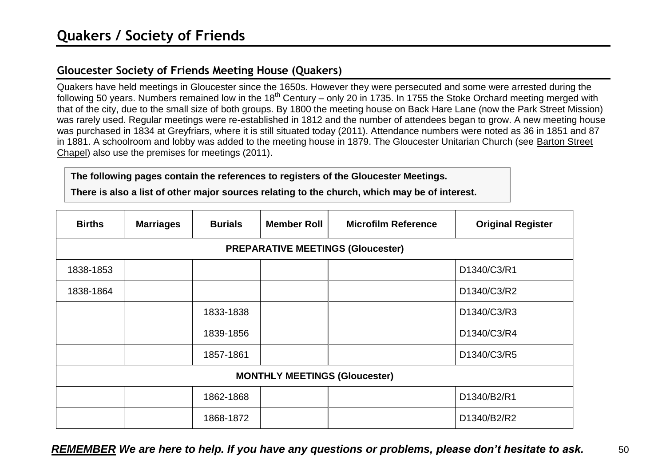# <span id="page-49-1"></span><span id="page-49-0"></span>**Gloucester Society of Friends Meeting House (Quakers)**

Quakers have held meetings in Gloucester since the 1650s. However they were persecuted and some were arrested during the following 50 years. Numbers remained low in the 18<sup>th</sup> Century – only 20 in 1735. In 1755 the Stoke Orchard meeting merged with that of the city, due to the small size of both groups. By 1800 the meeting house on Back Hare Lane (now the Park Street Mission) was rarely used. Regular meetings were re-established in 1812 and the number of attendees began to grow. A new meeting house was purchased in 1834 at Greyfriars, where it is still situated today (2011). Attendance numbers were noted as 36 in 1851 and 87 in 1881. A schoolroom and lobby was added to the meeting house in 1879. The Gloucester Unitarian Church (see Barton Street Chapel) also use the premises for meetings (2011).

#### **The following pages contain the references to registers of the Gloucester Meetings.**

**There is also a list of other major sources relating to the church, which may be of interest.**

| <b>Births</b>            | <b>Marriages</b>                         | <b>Burials</b> | <b>Member Roll</b> | <b>Microfilm Reference</b> | <b>Original Register</b> |  |  |  |  |
|--------------------------|------------------------------------------|----------------|--------------------|----------------------------|--------------------------|--|--|--|--|
|                          | <b>PREPARATIVE MEETINGS (Gloucester)</b> |                |                    |                            |                          |  |  |  |  |
| 1838-1853<br>D1340/C3/R1 |                                          |                |                    |                            |                          |  |  |  |  |
| 1838-1864                |                                          |                |                    |                            | D1340/C3/R2              |  |  |  |  |
|                          |                                          | 1833-1838      |                    |                            | D1340/C3/R3              |  |  |  |  |
|                          |                                          | 1839-1856      |                    |                            | D1340/C3/R4              |  |  |  |  |
|                          |                                          | 1857-1861      |                    |                            | D1340/C3/R5              |  |  |  |  |
|                          | <b>MONTHLY MEETINGS (Gloucester)</b>     |                |                    |                            |                          |  |  |  |  |
|                          |                                          | 1862-1868      |                    |                            | D1340/B2/R1              |  |  |  |  |
|                          |                                          | 1868-1872      |                    |                            | D1340/B2/R2              |  |  |  |  |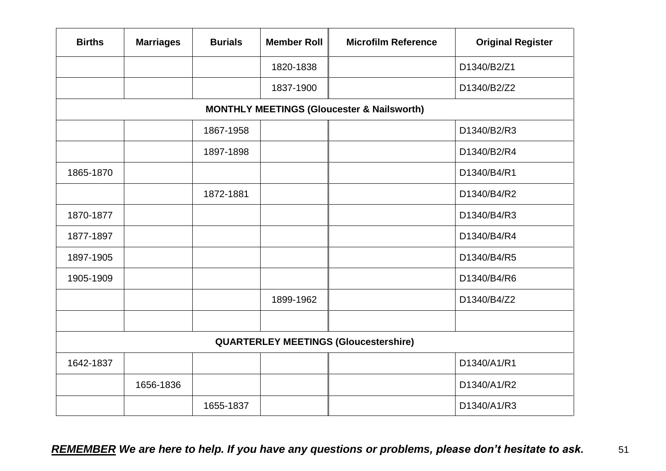| <b>Births</b>                                | <b>Marriages</b> | <b>Burials</b> | <b>Member Roll</b> | <b>Microfilm Reference</b>                            | <b>Original Register</b> |
|----------------------------------------------|------------------|----------------|--------------------|-------------------------------------------------------|--------------------------|
|                                              |                  |                | 1820-1838          |                                                       | D1340/B2/Z1              |
|                                              |                  |                | 1837-1900          |                                                       | D1340/B2/Z2              |
|                                              |                  |                |                    | <b>MONTHLY MEETINGS (Gloucester &amp; Nailsworth)</b> |                          |
|                                              |                  | 1867-1958      |                    |                                                       | D1340/B2/R3              |
|                                              |                  | 1897-1898      |                    |                                                       | D1340/B2/R4              |
| 1865-1870                                    |                  |                |                    |                                                       | D1340/B4/R1              |
|                                              |                  | 1872-1881      |                    |                                                       | D1340/B4/R2              |
| 1870-1877                                    |                  |                |                    |                                                       | D1340/B4/R3              |
| 1877-1897                                    |                  |                |                    |                                                       | D1340/B4/R4              |
| 1897-1905                                    |                  |                |                    |                                                       | D1340/B4/R5              |
| 1905-1909                                    |                  |                |                    |                                                       | D1340/B4/R6              |
|                                              |                  |                | 1899-1962          |                                                       | D1340/B4/Z2              |
|                                              |                  |                |                    |                                                       |                          |
| <b>QUARTERLEY MEETINGS (Gloucestershire)</b> |                  |                |                    |                                                       |                          |
| 1642-1837                                    |                  |                |                    |                                                       | D1340/A1/R1              |
|                                              | 1656-1836        |                |                    |                                                       | D1340/A1/R2              |
|                                              |                  | 1655-1837      |                    |                                                       | D1340/A1/R3              |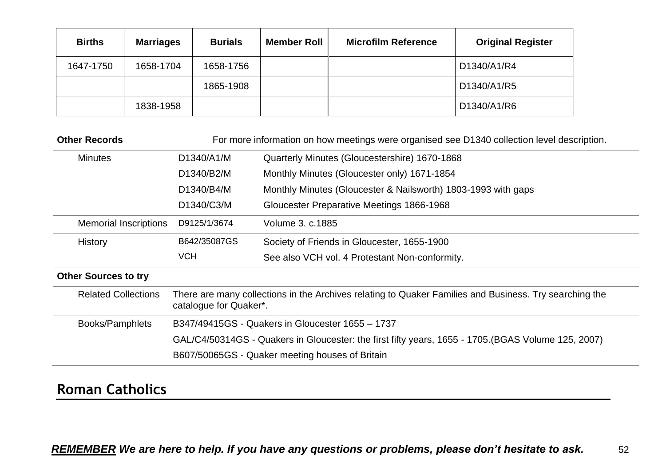| <b>Births</b> | <b>Marriages</b> | <b>Burials</b> | <b>Member Roll</b> | <b>Microfilm Reference</b> | <b>Original Register</b> |
|---------------|------------------|----------------|--------------------|----------------------------|--------------------------|
| 1647-1750     | 1658-1704        | 1658-1756      |                    |                            | D1340/A1/R4              |
|               |                  | 1865-1908      |                    |                            | D1340/A1/R5              |
|               | 1838-1958        |                |                    |                            | D1340/A1/R6              |

| <b>Other Records</b>         | For more information on how meetings were organised see D1340 collection level description.                                      |                                                               |  |
|------------------------------|----------------------------------------------------------------------------------------------------------------------------------|---------------------------------------------------------------|--|
| D1340/A1/M<br><b>Minutes</b> |                                                                                                                                  | Quarterly Minutes (Gloucestershire) 1670-1868                 |  |
|                              | D1340/B2/M                                                                                                                       | Monthly Minutes (Gloucester only) 1671-1854                   |  |
|                              | D1340/B4/M                                                                                                                       | Monthly Minutes (Gloucester & Nailsworth) 1803-1993 with gaps |  |
|                              | D1340/C3/M                                                                                                                       | Gloucester Preparative Meetings 1866-1968                     |  |
| <b>Memorial Inscriptions</b> | D9125/1/3674<br>Volume 3, c.1885                                                                                                 |                                                               |  |
| <b>History</b>               | B642/35087GS                                                                                                                     | Society of Friends in Gloucester, 1655-1900                   |  |
|                              | <b>VCH</b>                                                                                                                       | See also VCH vol. 4 Protestant Non-conformity.                |  |
| <b>Other Sources to try</b>  |                                                                                                                                  |                                                               |  |
| <b>Related Collections</b>   | There are many collections in the Archives relating to Quaker Families and Business. Try searching the<br>catalogue for Quaker*. |                                                               |  |
| Books/Pamphlets              | B347/49415GS - Quakers in Gloucester 1655 – 1737                                                                                 |                                                               |  |
|                              | GAL/C4/50314GS - Quakers in Gloucester: the first fifty years, 1655 - 1705. (BGAS Volume 125, 2007)                              |                                                               |  |
|                              | B607/50065GS - Quaker meeting houses of Britain                                                                                  |                                                               |  |

# <span id="page-51-0"></span>**Roman Catholics**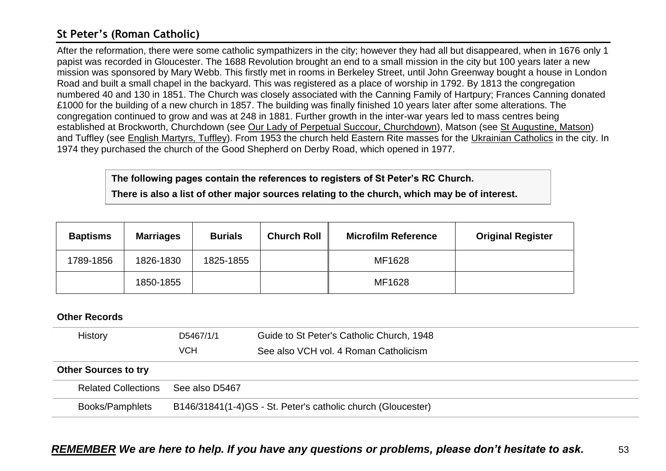# <span id="page-52-0"></span>**St Peter's (Roman Catholic)**

After the reformation, there were some catholic sympathizers in the city; however they had all but disappeared, when in 1676 only 1 papist was recorded in Gloucester. The 1688 Revolution brought an end to a small mission in the city but 100 years later a new mission was sponsored by Mary Webb. This firstly met in rooms in Berkeley Street, until John Greenway bought a house in London Road and built a small chapel in the backyard. This was registered as a place of worship in 1792. By 1813 the congregation numbered 40 and 130 in 1851. The Church was closely associated with the Canning Family of Hartpury; Frances Canning donated £1000 for the building of a new church in 1857. The building was finally finished 10 years later after some alterations. The congregation continued to grow and was at 248 in 1881. Further growth in the inter-war years led to mass centres being established at Brockworth, Churchdown (see Our Lady of Perpetual Succour, Churchdown), Matson (see St Augustine, Matson) and Tuffley (see English Martyrs, Tuffley). From 1953 the church held Eastern Rite masses for the Ukrainian Catholics in the city. In 1974 they purchased the church of the Good Shepherd on Derby Road, which opened in 1977.

**The following pages contain the references to registers of St Peter's RC Church.**

**There is also a list of other major sources relating to the church, which may be of interest.**

| <b>Baptisms</b> | <b>Marriages</b> | <b>Burials</b> | <b>Church Roll</b> | <b>Microfilm Reference</b> | <b>Original Register</b> |
|-----------------|------------------|----------------|--------------------|----------------------------|--------------------------|
| 1789-1856       | 1826-1830        | 1825-1855      |                    | MF1628                     |                          |
|                 | 1850-1855        |                |                    | MF1628                     |                          |

| History                     | D5467/1/1                                                    | Guide to St Peter's Catholic Church, 1948 |  |
|-----------------------------|--------------------------------------------------------------|-------------------------------------------|--|
|                             | <b>VCH</b>                                                   | See also VCH vol. 4 Roman Catholicism     |  |
| <b>Other Sources to try</b> |                                                              |                                           |  |
| <b>Related Collections</b>  | See also D5467                                               |                                           |  |
| Books/Pamphlets             | B146/31841(1-4)GS - St. Peter's catholic church (Gloucester) |                                           |  |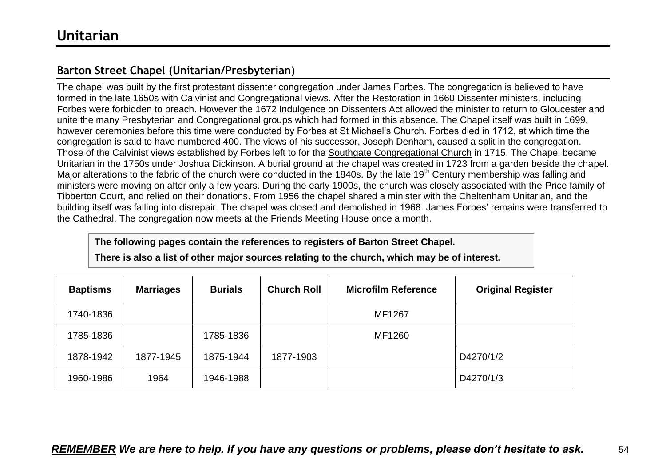# <span id="page-53-1"></span><span id="page-53-0"></span>**Barton Street Chapel (Unitarian/Presbyterian)**

The chapel was built by the first protestant dissenter congregation under James Forbes. The congregation is believed to have formed in the late 1650s with Calvinist and Congregational views. After the Restoration in 1660 Dissenter ministers, including Forbes were forbidden to preach. However the 1672 Indulgence on Dissenters Act allowed the minister to return to Gloucester and unite the many Presbyterian and Congregational groups which had formed in this absence. The Chapel itself was built in 1699, however ceremonies before this time were conducted by Forbes at St Michael's Church. Forbes died in 1712, at which time the congregation is said to have numbered 400. The views of his successor, Joseph Denham, caused a split in the congregation. Those of the Calvinist views established by Forbes left to for the Southgate Congregational Church in 1715. The Chapel became Unitarian in the 1750s under Joshua Dickinson. A burial ground at the chapel was created in 1723 from a garden beside the chapel. Major alterations to the fabric of the church were conducted in the 1840s. By the late 19<sup>th</sup> Century membership was falling and ministers were moving on after only a few years. During the early 1900s, the church was closely associated with the Price family of Tibberton Court, and relied on their donations. From 1956 the chapel shared a minister with the Cheltenham Unitarian, and the building itself was falling into disrepair. The chapel was closed and demolished in 1968. James Forbes' remains were transferred to the Cathedral. The congregation now meets at the Friends Meeting House once a month.

**The following pages contain the references to registers of Barton Street Chapel.**

**There is also a list of other major sources relating to the church, which may be of interest.**

| <b>Baptisms</b> | <b>Marriages</b> | <b>Burials</b> | <b>Church Roll</b> | <b>Microfilm Reference</b> | <b>Original Register</b> |
|-----------------|------------------|----------------|--------------------|----------------------------|--------------------------|
| 1740-1836       |                  |                |                    | MF1267                     |                          |
| 1785-1836       |                  | 1785-1836      |                    | MF1260                     |                          |
| 1878-1942       | 1877-1945        | 1875-1944      | 1877-1903          |                            | D4270/1/2                |
| 1960-1986       | 1964             | 1946-1988      |                    |                            | D4270/1/3                |